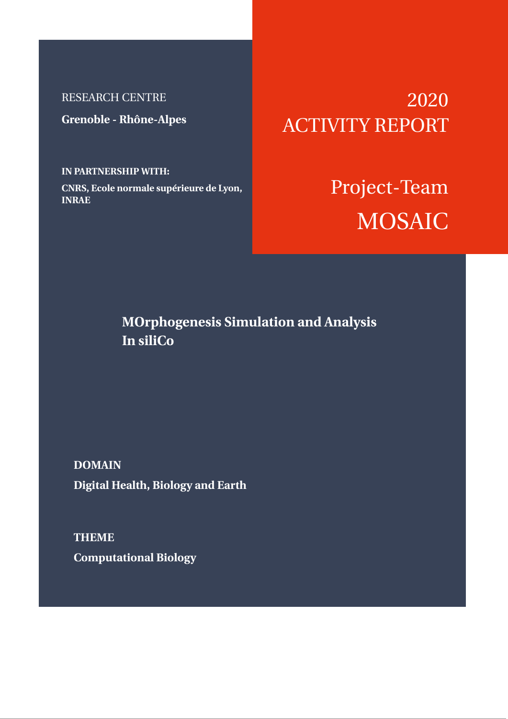# RESEARCH CENTRE

**Grenoble - Rhône-Alpes**

# **IN PARTNERSHIP WITH:**

**CNRS, Ecole normale supérieure de Lyon, INRAE**

# 2020 ACTIVITY REPORT

# Project-Team **MOSAIC**

# **MOrphogenesis Simulation and Analysis In siliCo**

**DOMAIN Digital Health, Biology and Earth**

**THEME Computational Biology**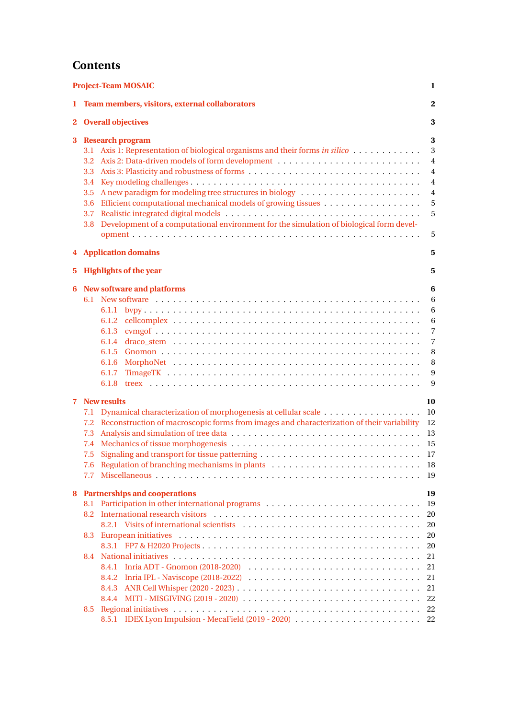# **Contents**

| <b>Project-Team MOSAIC</b><br>1 |                                                                                                                                                                                                                                                                                                                                                                      |                                                                          |  |  |  |
|---------------------------------|----------------------------------------------------------------------------------------------------------------------------------------------------------------------------------------------------------------------------------------------------------------------------------------------------------------------------------------------------------------------|--------------------------------------------------------------------------|--|--|--|
|                                 | Team members, visitors, external collaborators<br>1.<br><b>Overall objectives</b><br>$2^{\circ}$<br><b>Research program</b><br>3.1 Axis 1: Representation of biological organisms and their forms <i>in silico</i><br>3.3 <sup>°</sup><br>3.4<br>3.5<br>3.6<br>3.7<br>Development of a computational environment for the simulation of biological form devel-<br>3.8 |                                                                          |  |  |  |
|                                 |                                                                                                                                                                                                                                                                                                                                                                      |                                                                          |  |  |  |
| 3                               |                                                                                                                                                                                                                                                                                                                                                                      |                                                                          |  |  |  |
| <b>4</b> Application domains    |                                                                                                                                                                                                                                                                                                                                                                      |                                                                          |  |  |  |
| 5.                              | <b>Highlights of the year</b>                                                                                                                                                                                                                                                                                                                                        |                                                                          |  |  |  |
| 6                               | New software and platforms<br>6.1.4<br>6.1.5<br>6.1.6<br>6.1.7<br>6.1.8                                                                                                                                                                                                                                                                                              | 6<br>6<br>6<br>6<br>$\overline{7}$<br>$\overline{7}$<br>8<br>8<br>9<br>9 |  |  |  |
| 7                               | <b>New results</b><br>7.1<br>Reconstruction of macroscopic forms from images and characterization of their variability<br>7.2<br>7.3<br>$7.4^{\circ}$<br>7.5<br>7.6 Regulation of branching mechanisms in plants<br>7.7                                                                                                                                              | 10<br>10<br>12<br>13<br>15<br>18<br>-19                                  |  |  |  |
| 8                               | <b>Partnerships and cooperations</b><br>8.1<br>8.2<br>8.3<br>8.4<br>Inria IPL - Naviscope (2018-2022) $\ldots \ldots \ldots \ldots \ldots \ldots \ldots \ldots \ldots \ldots \ldots$<br>8.4.2<br>8.4.3                                                                                                                                                               | 19<br>19<br>20<br>20<br>20<br>20<br>21<br>21<br>21<br>21                 |  |  |  |
|                                 | MITI - MISGIVING (2019 - 2020) $\dots \dots \dots \dots \dots \dots \dots \dots \dots \dots \dots \dots \dots$<br>8.4.4<br>8.5<br>IDEX Lyon Impulsion - MecaField (2019 - 2020)<br>8.5.1                                                                                                                                                                             | 22<br>22<br>22                                                           |  |  |  |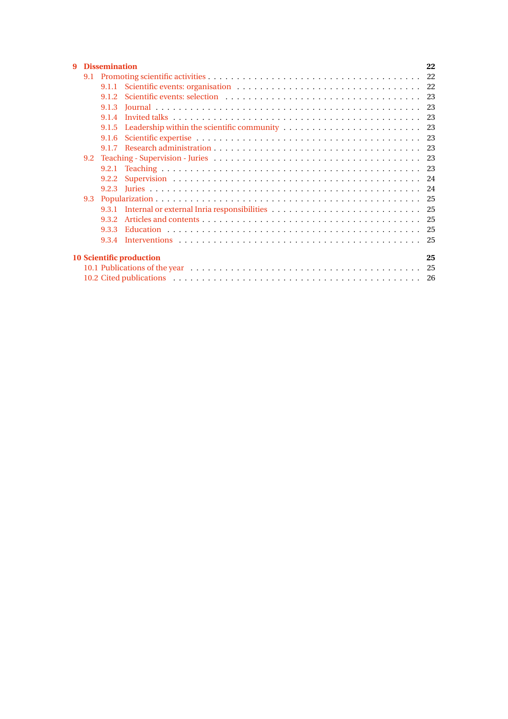| 9                                     |     | 22<br><b>Dissemination</b> |  |  |  |  |
|---------------------------------------|-----|----------------------------|--|--|--|--|
|                                       | 9.1 |                            |  |  |  |  |
|                                       |     |                            |  |  |  |  |
|                                       |     | 9.1.2                      |  |  |  |  |
|                                       |     | 9.1.3                      |  |  |  |  |
|                                       |     | 9 1 4                      |  |  |  |  |
|                                       |     | 9.1.5                      |  |  |  |  |
|                                       |     | 9.1.6                      |  |  |  |  |
|                                       |     |                            |  |  |  |  |
|                                       | 9.2 |                            |  |  |  |  |
|                                       |     |                            |  |  |  |  |
|                                       |     | 9.2.2                      |  |  |  |  |
|                                       |     |                            |  |  |  |  |
|                                       | 9.3 |                            |  |  |  |  |
|                                       |     |                            |  |  |  |  |
|                                       |     | 9.3.2                      |  |  |  |  |
|                                       |     | 933                        |  |  |  |  |
|                                       |     | 9.3.4                      |  |  |  |  |
| <b>10 Scientific production</b><br>25 |     |                            |  |  |  |  |
|                                       |     |                            |  |  |  |  |
|                                       |     |                            |  |  |  |  |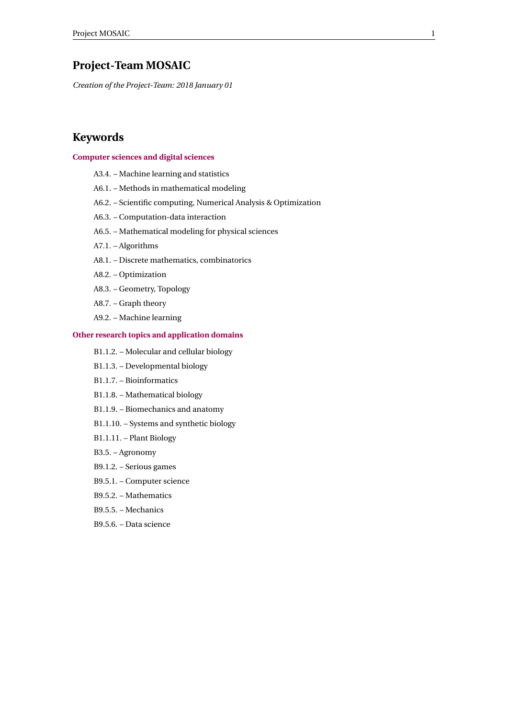# <span id="page-3-0"></span>**Project-Team MOSAIC**

*Creation of the Project-Team: 2018 January 01*

# **Keywords**

#### **[Computer sciences and digital sciences](https://raweb.inria.fr/rapportsactivite/RA2020/static/keywords/ComputerScienceandDigitalScience.html)**

- A3.4. Machine learning and statistics
- A6.1. Methods in mathematical modeling
- A6.2. Scientific computing, Numerical Analysis & Optimization
- A6.3. Computation-data interaction
- A6.5. Mathematical modeling for physical sciences
- A7.1. Algorithms
- A8.1. Discrete mathematics, combinatorics
- A8.2. Optimization
- A8.3. Geometry, Topology
- A8.7. Graph theory
- A9.2. Machine learning

#### **[Other research topics and application domains](https://raweb.inria.fr/rapportsactivite/RA2020/static/keywords/OtherResearchTopicsandApplicationDomains.html)**

- B1.1.2. Molecular and cellular biology
- B1.1.3. Developmental biology
- B1.1.7. Bioinformatics
- B1.1.8. Mathematical biology
- B1.1.9. Biomechanics and anatomy
- B1.1.10. Systems and synthetic biology
- B1.1.11. Plant Biology
- B3.5. Agronomy
- B9.1.2. Serious games
- B9.5.1. Computer science
- B9.5.2. Mathematics
- B9.5.5. Mechanics
- B9.5.6. Data science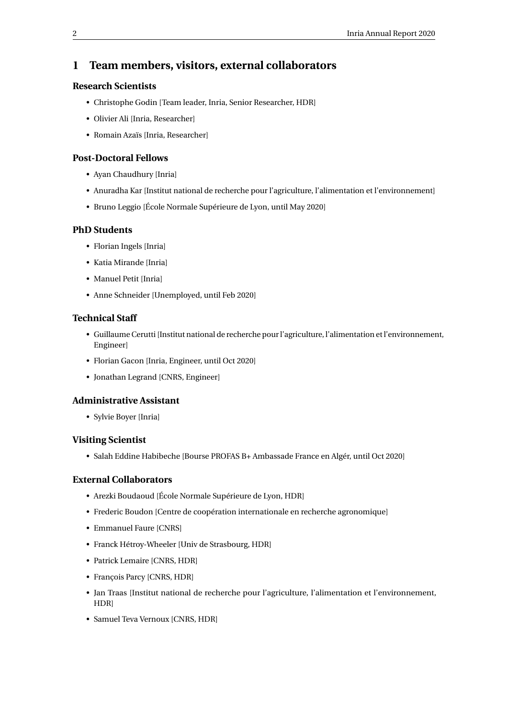# <span id="page-4-0"></span>**1 Team members, visitors, external collaborators**

#### **Research Scientists**

- Christophe Godin [Team leader, Inria, Senior Researcher, HDR]
- Olivier Ali [Inria, Researcher]
- Romain Azaïs [Inria, Researcher]

## **Post-Doctoral Fellows**

- Ayan Chaudhury [Inria]
- Anuradha Kar [Institut national de recherche pour l'agriculture, l'alimentation et l'environnement]
- Bruno Leggio [École Normale Supérieure de Lyon, until May 2020]

## **PhD Students**

- Florian Ingels [Inria]
- Katia Mirande [Inria]
- Manuel Petit [Inria]
- Anne Schneider [Unemployed, until Feb 2020]

### **Technical Staff**

- Guillaume Cerutti [Institut national de recherche pour l'agriculture, l'alimentation et l'environnement, Engineer]
- Florian Gacon [Inria, Engineer, until Oct 2020]
- Jonathan Legrand [CNRS, Engineer]

# **Administrative Assistant**

• Sylvie Boyer [Inria]

# **Visiting Scientist**

• Salah Eddine Habibeche [Bourse PROFAS B+ Ambassade France en Algér, until Oct 2020]

#### **External Collaborators**

- Arezki Boudaoud [École Normale Supérieure de Lyon, HDR]
- Frederic Boudon [Centre de coopération internationale en recherche agronomique]
- Emmanuel Faure [CNRS]
- Franck Hétroy-Wheeler [Univ de Strasbourg, HDR]
- Patrick Lemaire [CNRS, HDR]
- François Parcy [CNRS, HDR]
- Jan Traas [Institut national de recherche pour l'agriculture, l'alimentation et l'environnement, **HDR**
- Samuel Teva Vernoux [CNRS, HDR]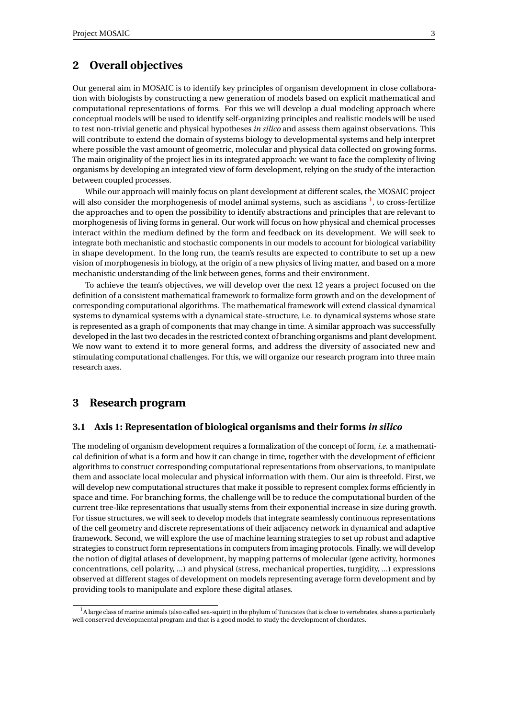# <span id="page-5-0"></span>**2 Overall objectives**

Our general aim in MOSAIC is to identify key principles of organism development in close collaboration with biologists by constructing a new generation of models based on explicit mathematical and computational representations of forms. For this we will develop a dual modeling approach where conceptual models will be used to identify self-organizing principles and realistic models will be used to test non-trivial genetic and physical hypotheses *in silico* and assess them against observations. This will contribute to extend the domain of systems biology to developmental systems and help interpret where possible the vast amount of geometric, molecular and physical data collected on growing forms. The main originality of the project lies in its integrated approach: we want to face the complexity of living organisms by developing an integrated view of form development, relying on the study of the interaction between coupled processes.

While our approach will mainly focus on plant development at different scales, the MOSAIC project will also consider the morphogenesis of model animal systems, such as ascidians <sup>[1](#page-5-3)</sup>, to cross-fertilize the approaches and to open the possibility to identify abstractions and principles that are relevant to morphogenesis of living forms in general. Our work will focus on how physical and chemical processes interact within the medium defined by the form and feedback on its development. We will seek to integrate both mechanistic and stochastic components in our models to account for biological variability in shape development. In the long run, the team's results are expected to contribute to set up a new vision of morphogenesis in biology, at the origin of a new physics of living matter, and based on a more mechanistic understanding of the link between genes, forms and their environment.

To achieve the team's objectives, we will develop over the next 12 years a project focused on the definition of a consistent mathematical framework to formalize form growth and on the development of corresponding computational algorithms. The mathematical framework will extend classical dynamical systems to dynamical systems with a dynamical state-structure, i.e. to dynamical systems whose state is represented as a graph of components that may change in time. A similar approach was successfully developed in the last two decades in the restricted context of branching organisms and plant development. We now want to extend it to more general forms, and address the diversity of associated new and stimulating computational challenges. For this, we will organize our research program into three main research axes.

# <span id="page-5-1"></span>**3 Research program**

#### <span id="page-5-2"></span>**3.1 Axis 1: Representation of biological organisms and their forms** *in silico*

The modeling of organism development requires a formalization of the concept of form, *i.e.* a mathematical definition of what is a form and how it can change in time, together with the development of efficient algorithms to construct corresponding computational representations from observations, to manipulate them and associate local molecular and physical information with them. Our aim is threefold. First, we will develop new computational structures that make it possible to represent complex forms efficiently in space and time. For branching forms, the challenge will be to reduce the computational burden of the current tree-like representations that usually stems from their exponential increase in size during growth. For tissue structures, we will seek to develop models that integrate seamlessly continuous representations of the cell geometry and discrete representations of their adjacency network in dynamical and adaptive framework. Second, we will explore the use of machine learning strategies to set up robust and adaptive strategies to construct form representations in computers from imaging protocols. Finally, we will develop the notion of digital atlases of development, by mapping patterns of molecular (gene activity, hormones concentrations, cell polarity, ...) and physical (stress, mechanical properties, turgidity, ...) expressions observed at different stages of development on models representing average form development and by providing tools to manipulate and explore these digital atlases.

<span id="page-5-3"></span><sup>&</sup>lt;sup>1</sup>A large class of marine animals (also called sea-squirt) in the phylum of Tunicates that is close to vertebrates, shares a particularly well conserved developmental program and that is a good model to study the development of chordates.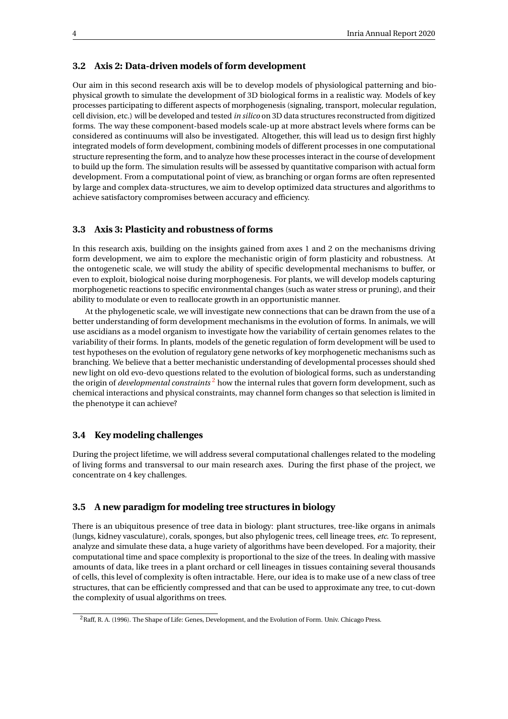#### <span id="page-6-0"></span>**3.2 Axis 2: Data-driven models of form development**

Our aim in this second research axis will be to develop models of physiological patterning and biophysical growth to simulate the development of 3D biological forms in a realistic way. Models of key processes participating to different aspects of morphogenesis (signaling, transport, molecular regulation, cell division, etc.) will be developed and tested *in silico* on 3D data structures reconstructed from digitized forms. The way these component-based models scale-up at more abstract levels where forms can be considered as continuums will also be investigated. Altogether, this will lead us to design first highly integrated models of form development, combining models of different processes in one computational structure representing the form, and to analyze how these processes interact in the course of development to build up the form. The simulation results will be assessed by quantitative comparison with actual form development. From a computational point of view, as branching or organ forms are often represented by large and complex data-structures, we aim to develop optimized data structures and algorithms to achieve satisfactory compromises between accuracy and efficiency.

#### <span id="page-6-1"></span>**3.3 Axis 3: Plasticity and robustness of forms**

In this research axis, building on the insights gained from axes 1 and 2 on the mechanisms driving form development, we aim to explore the mechanistic origin of form plasticity and robustness. At the ontogenetic scale, we will study the ability of specific developmental mechanisms to buffer, or even to exploit, biological noise during morphogenesis. For plants, we will develop models capturing morphogenetic reactions to specific environmental changes (such as water stress or pruning), and their ability to modulate or even to reallocate growth in an opportunistic manner.

At the phylogenetic scale, we will investigate new connections that can be drawn from the use of a better understanding of form development mechanisms in the evolution of forms. In animals, we will use ascidians as a model organism to investigate how the variability of certain genomes relates to the variability of their forms. In plants, models of the genetic regulation of form development will be used to test hypotheses on the evolution of regulatory gene networks of key morphogenetic mechanisms such as branching. We believe that a better mechanistic understanding of developmental processes should shed new light on old evo-devo questions related to the evolution of biological forms, such as understanding the origin of *developmental constraints* [2](#page-6-4) how the internal rules that govern form development, such as chemical interactions and physical constraints, may channel form changes so that selection is limited in the phenotype it can achieve?

#### <span id="page-6-2"></span>**3.4 Key modeling challenges**

During the project lifetime, we will address several computational challenges related to the modeling of living forms and transversal to our main research axes. During the first phase of the project, we concentrate on 4 key challenges.

#### <span id="page-6-3"></span>**3.5 A new paradigm for modeling tree structures in biology**

There is an ubiquitous presence of tree data in biology: plant structures, tree-like organs in animals (lungs, kidney vasculature), corals, sponges, but also phylogenic trees, cell lineage trees, *etc*. To represent, analyze and simulate these data, a huge variety of algorithms have been developed. For a majority, their computational time and space complexity is proportional to the size of the trees. In dealing with massive amounts of data, like trees in a plant orchard or cell lineages in tissues containing several thousands of cells, this level of complexity is often intractable. Here, our idea is to make use of a new class of tree structures, that can be efficiently compressed and that can be used to approximate any tree, to cut-down the complexity of usual algorithms on trees.

<span id="page-6-4"></span><sup>2</sup>Raff, R. A. (1996). The Shape of Life: Genes, Development, and the Evolution of Form. Univ. Chicago Press.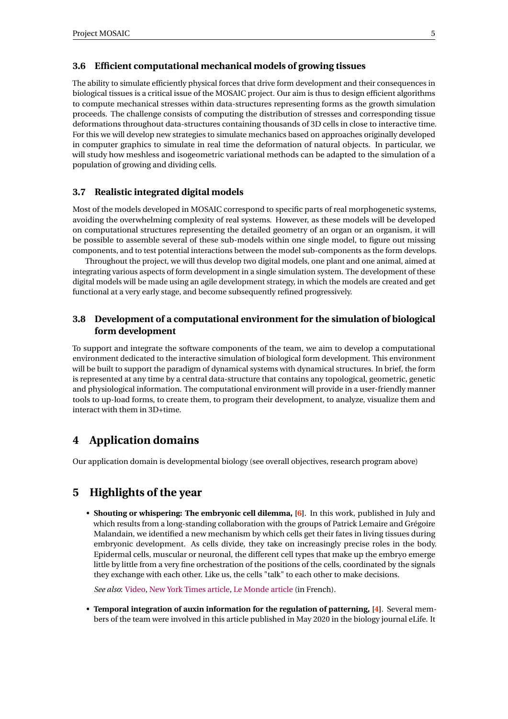#### <span id="page-7-0"></span>**3.6 Efficient computational mechanical models of growing tissues**

The ability to simulate efficiently physical forces that drive form development and their consequences in biological tissues is a critical issue of the MOSAIC project. Our aim is thus to design efficient algorithms to compute mechanical stresses within data-structures representing forms as the growth simulation proceeds. The challenge consists of computing the distribution of stresses and corresponding tissue deformations throughout data-structures containing thousands of 3D cells in close to interactive time. For this we will develop new strategies to simulate mechanics based on approaches originally developed in computer graphics to simulate in real time the deformation of natural objects. In particular, we will study how meshless and isogeometric variational methods can be adapted to the simulation of a population of growing and dividing cells.

#### <span id="page-7-1"></span>**3.7 Realistic integrated digital models**

Most of the models developed in MOSAIC correspond to specific parts of real morphogenetic systems, avoiding the overwhelming complexity of real systems. However, as these models will be developed on computational structures representing the detailed geometry of an organ or an organism, it will be possible to assemble several of these sub-models within one single model, to figure out missing components, and to test potential interactions between the model sub-components as the form develops.

Throughout the project, we will thus develop two digital models, one plant and one animal, aimed at integrating various aspects of form development in a single simulation system. The development of these digital models will be made using an agile development strategy, in which the models are created and get functional at a very early stage, and become subsequently refined progressively.

# <span id="page-7-2"></span>**3.8 Development of a computational environment for the simulation of biological form development**

To support and integrate the software components of the team, we aim to develop a computational environment dedicated to the interactive simulation of biological form development. This environment will be built to support the paradigm of dynamical systems with dynamical structures. In brief, the form is represented at any time by a central data-structure that contains any topological, geometric, genetic and physiological information. The computational environment will provide in a user-friendly manner tools to up-load forms, to create them, to program their development, to analyze, visualize them and interact with them in 3D+time.

# <span id="page-7-3"></span>**4 Application domains**

Our application domain is developmental biology (see overall objectives, research program above)

# <span id="page-7-4"></span>**5 Highlights of the year**

• **Shouting or whispering: The embryonic cell dilemma, [\[6\]](#page-27-7)**. In this work, published in July and which results from a long-standing collaboration with the groups of Patrick Lemaire and Grégoire Malandain, we identified a new mechanism by which cells get their fates in living tissues during embryonic development. As cells divide, they take on increasingly precise roles in the body. Epidermal cells, muscular or neuronal, the different cell types that make up the embryo emerge little by little from a very fine orchestration of the positions of the cells, coordinated by the signals they exchange with each other. Like us, the cells "talk" to each other to make decisions.

*See also*: [Video,](https://vimeo.com/434433967) [New York Times article,](https://www.nytimes.com/2020/07/09/science/sea-squirts-embryos.html) [Le Monde article]( https://www.lemonde.fr/sciences/article/2020/07/22/cris-et-chuchotements-chez-les-cellules-embryonnaires_6046901_1650684.html) (in French).

• **Temporal integration of auxin information for the regulation of patterning, [\[4\]](#page-27-8)**. Several members of the team were involved in this article published in May 2020 in the biology journal eLife. It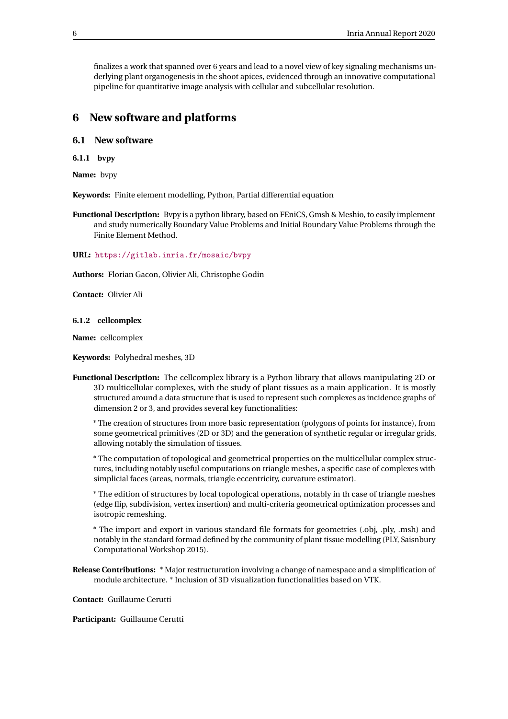finalizes a work that spanned over 6 years and lead to a novel view of key signaling mechanisms underlying plant organogenesis in the shoot apices, evidenced through an innovative computational pipeline for quantitative image analysis with cellular and subcellular resolution.

# <span id="page-8-0"></span>**6 New software and platforms**

# <span id="page-8-1"></span>**6.1 New software**

<span id="page-8-2"></span>**6.1.1 bvpy**

**Name:** bvpy

**Keywords:** Finite element modelling, Python, Partial differential equation

**Functional Description:** Bvpy is a python library, based on FEniCS, Gmsh & Meshio, to easily implement and study numerically Boundary Value Problems and Initial Boundary Value Problems through the Finite Element Method.

**URL:** <https://gitlab.inria.fr/mosaic/bvpy>

**Authors:** Florian Gacon, Olivier Ali, Christophe Godin

**Contact:** Olivier Ali

#### <span id="page-8-3"></span>**6.1.2 cellcomplex**

**Name:** cellcomplex

**Keywords:** Polyhedral meshes, 3D

**Functional Description:** The cellcomplex library is a Python library that allows manipulating 2D or 3D multicellular complexes, with the study of plant tissues as a main application. It is mostly structured around a data structure that is used to represent such complexes as incidence graphs of dimension 2 or 3, and provides several key functionalities:

\* The creation of structures from more basic representation (polygons of points for instance), from some geometrical primitives (2D or 3D) and the generation of synthetic regular or irregular grids, allowing notably the simulation of tissues.

\* The computation of topological and geometrical properties on the multicellular complex structures, including notably useful computations on triangle meshes, a specific case of complexes with simplicial faces (areas, normals, triangle eccentricity, curvature estimator).

\* The edition of structures by local topological operations, notably in th case of triangle meshes (edge flip, subdivision, vertex insertion) and multi-criteria geometrical optimization processes and isotropic remeshing.

\* The import and export in various standard file formats for geometries (.obj, .ply, .msh) and notably in the standard formad defined by the community of plant tissue modelling (PLY, Saisnbury Computational Workshop 2015).

**Release Contributions:** \* Major restructuration involving a change of namespace and a simplification of module architecture. \* Inclusion of 3D visualization functionalities based on VTK.

**Contact:** Guillaume Cerutti

**Participant:** Guillaume Cerutti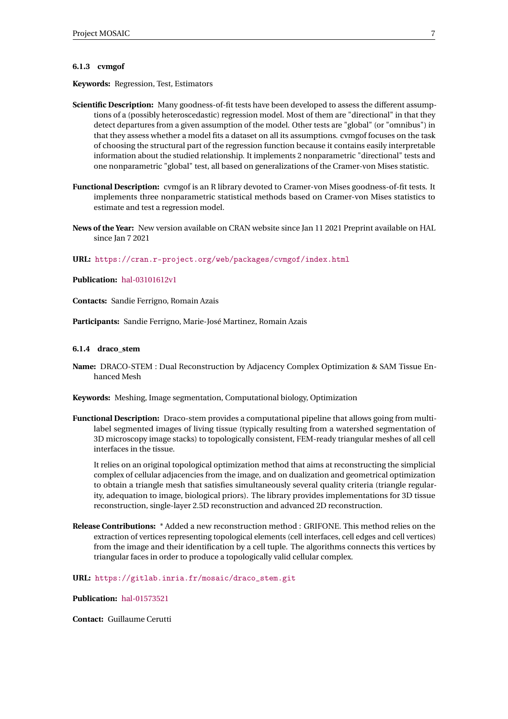#### <span id="page-9-0"></span>**6.1.3 cvmgof**

**Keywords:** Regression, Test, Estimators

- **Scientific Description:** Many goodness-of-fit tests have been developed to assess the different assumptions of a (possibly heteroscedastic) regression model. Most of them are "directional" in that they detect departures from a given assumption of the model. Other tests are "global" (or "omnibus") in that they assess whether a model fits a dataset on all its assumptions. cvmgof focuses on the task of choosing the structural part of the regression function because it contains easily interpretable information about the studied relationship. It implements 2 nonparametric "directional" tests and one nonparametric "global" test, all based on generalizations of the Cramer-von Mises statistic.
- **Functional Description:** cvmgof is an R library devoted to Cramer-von Mises goodness-of-fit tests. It implements three nonparametric statistical methods based on Cramer-von Mises statistics to estimate and test a regression model.
- **News of the Year:** New version available on CRAN website since Jan 11 2021 Preprint available on HAL since Jan 7 2021

**URL:** <https://cran.r-project.org/web/packages/cvmgof/index.html>

**Publication:** [hal-03101612v1](https://hal.inria.fr/hal-03101612v1)

**Contacts:** Sandie Ferrigno, Romain Azais

**Participants:** Sandie Ferrigno, Marie-José Martinez, Romain Azais

#### <span id="page-9-1"></span>**6.1.4 draco\_stem**

- **Name:** DRACO-STEM : Dual Reconstruction by Adjacency Complex Optimization & SAM Tissue Enhanced Mesh
- **Keywords:** Meshing, Image segmentation, Computational biology, Optimization
- **Functional Description:** Draco-stem provides a computational pipeline that allows going from multilabel segmented images of living tissue (typically resulting from a watershed segmentation of 3D microscopy image stacks) to topologically consistent, FEM-ready triangular meshes of all cell interfaces in the tissue.

It relies on an original topological optimization method that aims at reconstructing the simplicial complex of cellular adjacencies from the image, and on dualization and geometrical optimization to obtain a triangle mesh that satisfies simultaneously several quality criteria (triangle regularity, adequation to image, biological priors). The library provides implementations for 3D tissue reconstruction, single-layer 2.5D reconstruction and advanced 2D reconstruction.

**Release Contributions:** \* Added a new reconstruction method : GRIFONE. This method relies on the extraction of vertices representing topological elements (cell interfaces, cell edges and cell vertices) from the image and their identification by a cell tuple. The algorithms connects this vertices by triangular faces in order to produce a topologically valid cellular complex.

**URL:** [https://gitlab.inria.fr/mosaic/draco\\_stem.git](https://gitlab.inria.fr/mosaic/draco_stem.git)

**Publication:** [hal-01573521](https://hal.inria.fr/hal-01573521)

**Contact:** Guillaume Cerutti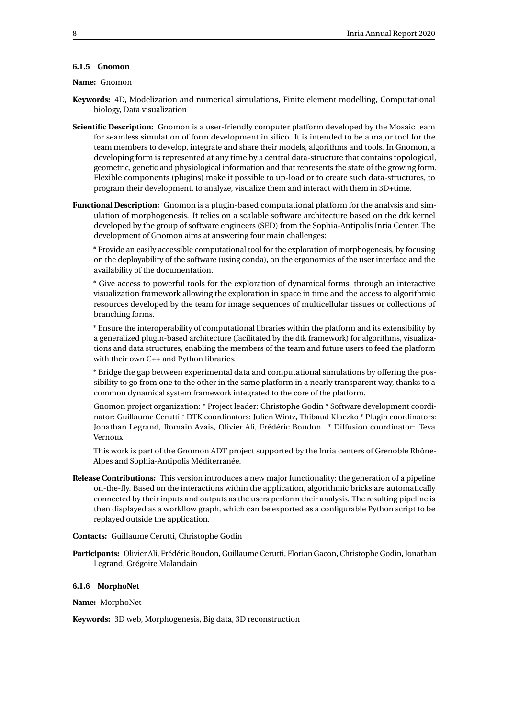#### <span id="page-10-0"></span>**6.1.5 Gnomon**

#### **Name:** Gnomon

- **Keywords:** 4D, Modelization and numerical simulations, Finite element modelling, Computational biology, Data visualization
- **Scientific Description:** Gnomon is a user-friendly computer platform developed by the Mosaic team for seamless simulation of form development in silico. It is intended to be a major tool for the team members to develop, integrate and share their models, algorithms and tools. In Gnomon, a developing form is represented at any time by a central data-structure that contains topological, geometric, genetic and physiological information and that represents the state of the growing form. Flexible components (plugins) make it possible to up-load or to create such data-structures, to program their development, to analyze, visualize them and interact with them in 3D+time.
- **Functional Description:** Gnomon is a plugin-based computational platform for the analysis and simulation of morphogenesis. It relies on a scalable software architecture based on the dtk kernel developed by the group of software engineers (SED) from the Sophia-Antipolis Inria Center. The development of Gnomon aims at answering four main challenges:

\* Provide an easily accessible computational tool for the exploration of morphogenesis, by focusing on the deployability of the software (using conda), on the ergonomics of the user interface and the availability of the documentation.

\* Give access to powerful tools for the exploration of dynamical forms, through an interactive visualization framework allowing the exploration in space in time and the access to algorithmic resources developed by the team for image sequences of multicellular tissues or collections of branching forms.

\* Ensure the interoperability of computational libraries within the platform and its extensibility by a generalized plugin-based architecture (facilitated by the dtk framework) for algorithms, visualizations and data structures, enabling the members of the team and future users to feed the platform with their own C++ and Python libraries.

\* Bridge the gap between experimental data and computational simulations by offering the possibility to go from one to the other in the same platform in a nearly transparent way, thanks to a common dynamical system framework integrated to the core of the platform.

Gnomon project organization: \* Project leader: Christophe Godin \* Software development coordinator: Guillaume Cerutti \* DTK coordinators: Julien Wintz, Thibaud Kloczko \* Plugin coordinators: Jonathan Legrand, Romain Azais, Olivier Ali, Frédéric Boudon. \* Diffusion coordinator: Teva Vernoux

This work is part of the Gnomon ADT project supported by the Inria centers of Grenoble Rhône-Alpes and Sophia-Antipolis Méditerranée.

- **Release Contributions:** This version introduces a new major functionality: the generation of a pipeline on-the-fly. Based on the interactions within the application, algorithmic bricks are automatically connected by their inputs and outputs as the users perform their analysis. The resulting pipeline is then displayed as a workflow graph, which can be exported as a configurable Python script to be replayed outside the application.
- **Contacts:** Guillaume Cerutti, Christophe Godin
- **Participants:** Olivier Ali, Frédéric Boudon, Guillaume Cerutti, Florian Gacon, Christophe Godin, Jonathan Legrand, Grégoire Malandain

#### <span id="page-10-1"></span>**6.1.6 MorphoNet**

**Name:** MorphoNet

**Keywords:** 3D web, Morphogenesis, Big data, 3D reconstruction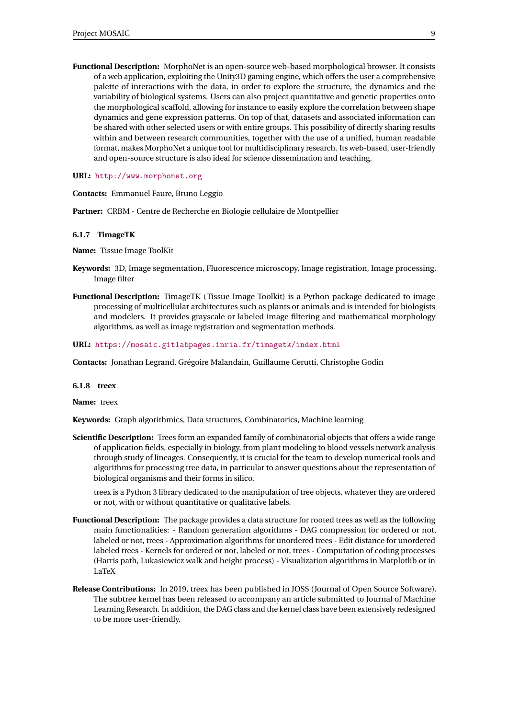**Functional Description:** MorphoNet is an open-source web-based morphological browser. It consists of a web application, exploiting the Unity3D gaming engine, which offers the user a comprehensive palette of interactions with the data, in order to explore the structure, the dynamics and the variability of biological systems. Users can also project quantitative and genetic properties onto the morphological scaffold, allowing for instance to easily explore the correlation between shape dynamics and gene expression patterns. On top of that, datasets and associated information can be shared with other selected users or with entire groups. This possibility of directly sharing results within and between research communities, together with the use of a unified, human readable format, makes MorphoNet a unique tool for multidisciplinary research. Its web-based, user-friendly and open-source structure is also ideal for science dissemination and teaching.

**URL:** <http://www.morphonet.org>

**Contacts:** Emmanuel Faure, Bruno Leggio

**Partner:** CRBM - Centre de Recherche en Biologie cellulaire de Montpellier

#### <span id="page-11-0"></span>**6.1.7 TimageTK**

**Name:** Tissue Image ToolKit

- **Keywords:** 3D, Image segmentation, Fluorescence microscopy, Image registration, Image processing, Image filter
- **Functional Description:** TimageTK (Tissue Image Toolkit) is a Python package dedicated to image processing of multicellular architectures such as plants or animals and is intended for biologists and modelers. It provides grayscale or labeled image filtering and mathematical morphology algorithms, as well as image registration and segmentation methods.

**URL:** <https://mosaic.gitlabpages.inria.fr/timagetk/index.html>

**Contacts:** Jonathan Legrand, Grégoire Malandain, Guillaume Cerutti, Christophe Godin

#### <span id="page-11-1"></span>**6.1.8 treex**

**Name:** treex

**Keywords:** Graph algorithmics, Data structures, Combinatorics, Machine learning

**Scientific Description:** Trees form an expanded family of combinatorial objects that offers a wide range of application fields, especially in biology, from plant modeling to blood vessels network analysis through study of lineages. Consequently, it is crucial for the team to develop numerical tools and algorithms for processing tree data, in particular to answer questions about the representation of biological organisms and their forms in silico.

treex is a Python 3 library dedicated to the manipulation of tree objects, whatever they are ordered or not, with or without quantitative or qualitative labels.

- **Functional Description:** The package provides a data structure for rooted trees as well as the following main functionalities: - Random generation algorithms - DAG compression for ordered or not, labeled or not, trees - Approximation algorithms for unordered trees - Edit distance for unordered labeled trees - Kernels for ordered or not, labeled or not, trees - Computation of coding processes (Harris path, Lukasiewicz walk and height process) - Visualization algorithms in Matplotlib or in LaTeX
- **Release Contributions:** In 2019, treex has been published in JOSS (Journal of Open Source Software). The subtree kernel has been released to accompany an article submitted to Journal of Machine Learning Research. In addition, the DAG class and the kernel class have been extensively redesigned to be more user-friendly.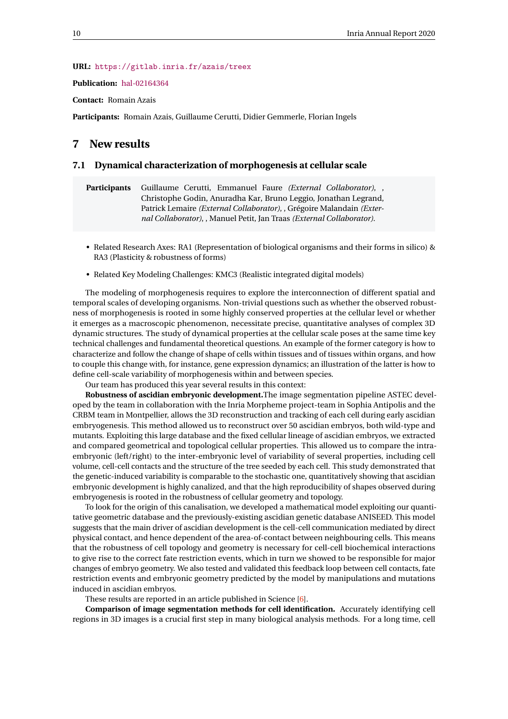#### **URL:** <https://gitlab.inria.fr/azais/treex>

**Publication:** [hal-02164364](https://hal.inria.fr/hal-02164364)

**Contact:** Romain Azais

**Participants:** Romain Azais, Guillaume Cerutti, Didier Gemmerle, Florian Ingels

# <span id="page-12-0"></span>**7 New results**

#### <span id="page-12-1"></span>**7.1 Dynamical characterization of morphogenesis at cellular scale**

**Participants** Guillaume Cerutti, Emmanuel Faure *(External Collaborator)*, , Christophe Godin, Anuradha Kar, Bruno Leggio, Jonathan Legrand, Patrick Lemaire *(External Collaborator)*, , Grégoire Malandain *(External Collaborator)*, , Manuel Petit, Jan Traas *(External Collaborator)*.

- Related Research Axes: RA1 (Representation of biological organisms and their forms in silico) & RA3 (Plasticity & robustness of forms)
- Related Key Modeling Challenges: KMC3 (Realistic integrated digital models)

The modeling of morphogenesis requires to explore the interconnection of different spatial and temporal scales of developing organisms. Non-trivial questions such as whether the observed robustness of morphogenesis is rooted in some highly conserved properties at the cellular level or whether it emerges as a macroscopic phenomenon, necessitate precise, quantitative analyses of complex 3D dynamic structures. The study of dynamical properties at the cellular scale poses at the same time key technical challenges and fundamental theoretical questions. An example of the former category is how to characterize and follow the change of shape of cells within tissues and of tissues within organs, and how to couple this change with, for instance, gene expression dynamics; an illustration of the latter is how to define cell-scale variability of morphogenesis within and between species.

Our team has produced this year several results in this context:

**Robustness of ascidian embryonic development.**The image segmentation pipeline ASTEC developed by the team in collaboration with the Inria Morpheme project-team in Sophia Antipolis and the CRBM team in Montpellier, allows the 3D reconstruction and tracking of each cell during early ascidian embryogenesis. This method allowed us to reconstruct over 50 ascidian embryos, both wild-type and mutants. Exploiting this large database and the fixed cellular lineage of ascidian embryos, we extracted and compared geometrical and topological cellular properties. This allowed us to compare the intraembryonic (left/right) to the inter-embryonic level of variability of several properties, including cell volume, cell-cell contacts and the structure of the tree seeded by each cell. This study demonstrated that the genetic-induced variability is comparable to the stochastic one, quantitatively showing that ascidian embryonic development is highly canalized, and that the high reproducibility of shapes observed during embryogenesis is rooted in the robustness of cellular geometry and topology.

To look for the origin of this canalisation, we developed a mathematical model exploiting our quantitative geometric database and the previously-existing ascidian genetic database ANISEED. This model suggests that the main driver of ascidian development is the cell-cell communication mediated by direct physical contact, and hence dependent of the area-of-contact between neighbouring cells. This means that the robustness of cell topology and geometry is necessary for cell-cell biochemical interactions to give rise to the correct fate restriction events, which in turn we showed to be responsible for major changes of embryo geometry. We also tested and validated this feedback loop between cell contacts, fate restriction events and embryonic geometry predicted by the model by manipulations and mutations induced in ascidian embryos.

#### These results are reported in an article published in Science [\[6\]](#page-27-7).

**Comparison of image segmentation methods for cell identification.** Accurately identifying cell regions in 3D images is a crucial first step in many biological analysis methods. For a long time, cell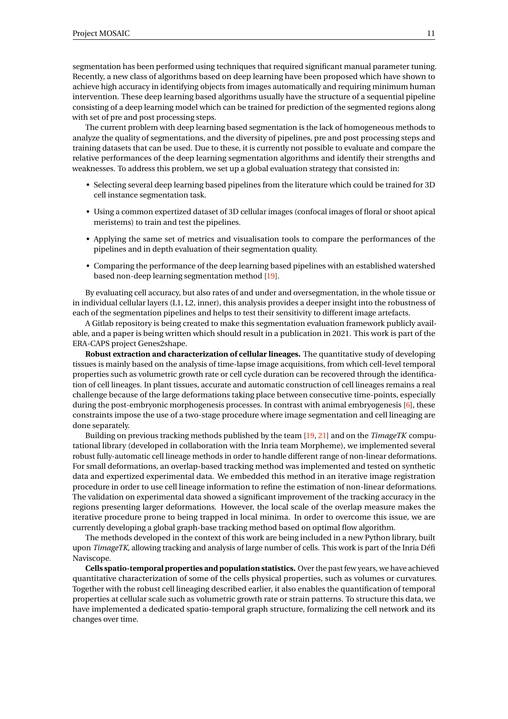segmentation has been performed using techniques that required significant manual parameter tuning. Recently, a new class of algorithms based on deep learning have been proposed which have shown to achieve high accuracy in identifying objects from images automatically and requiring minimum human intervention. These deep learning based algorithms usually have the structure of a sequential pipeline consisting of a deep learning model which can be trained for prediction of the segmented regions along with set of pre and post processing steps.

The current problem with deep learning based segmentation is the lack of homogeneous methods to analyze the quality of segmentations, and the diversity of pipelines, pre and post processing steps and training datasets that can be used. Due to these, it is currently not possible to evaluate and compare the relative performances of the deep learning segmentation algorithms and identify their strengths and weaknesses. To address this problem, we set up a global evaluation strategy that consisted in:

- Selecting several deep learning based pipelines from the literature which could be trained for 3D cell instance segmentation task.
- Using a common expertized dataset of 3D cellular images (confocal images of floral or shoot apical meristems) to train and test the pipelines.
- Applying the same set of metrics and visualisation tools to compare the performances of the pipelines and in depth evaluation of their segmentation quality.
- Comparing the performance of the deep learning based pipelines with an established watershed based non-deep learning segmentation method [\[19\]](#page-28-1).

By evaluating cell accuracy, but also rates of and under and oversegmentation, in the whole tissue or in individual cellular layers (L1, L2, inner), this analysis provides a deeper insight into the robustness of each of the segmentation pipelines and helps to test their sensitivity to different image artefacts.

A Gitlab repository is being created to make this segmentation evaluation framework publicly available, and a paper is being written which should result in a publication in 2021. This work is part of the ERA-CAPS project Genes2shape.

**Robust extraction and characterization of cellular lineages.** The quantitative study of developing tissues is mainly based on the analysis of time-lapse image acquisitions, from which cell-level temporal properties such as volumetric growth rate or cell cycle duration can be recovered through the identification of cell lineages. In plant tissues, accurate and automatic construction of cell lineages remains a real challenge because of the large deformations taking place between consecutive time-points, especially during the post-embryonic morphogenesis processes. In contrast with animal embryogenesis [\[6\]](#page-27-7), these constraints impose the use of a two-stage procedure where image segmentation and cell lineaging are done separately.

Building on previous tracking methods published by the team [\[19,](#page-28-1) [21\]](#page-28-2) and on the *TimageTK* computational library (developed in collaboration with the Inria team Morpheme), we implemented several robust fully-automatic cell lineage methods in order to handle different range of non-linear deformations. For small deformations, an overlap-based tracking method was implemented and tested on synthetic data and expertized experimental data. We embedded this method in an iterative image registration procedure in order to use cell lineage information to refine the estimation of non-linear deformations. The validation on experimental data showed a significant improvement of the tracking accuracy in the regions presenting larger deformations. However, the local scale of the overlap measure makes the iterative procedure prone to being trapped in local minima. In order to overcome this issue, we are currently developing a global graph-base tracking method based on optimal flow algorithm.

The methods developed in the context of this work are being included in a new Python library, built upon *TimageTK*, allowing tracking and analysis of large number of cells. This work is part of the Inria Défi Naviscope.

**Cells spatio-temporal properties and population statistics.** Over the past few years, we have achieved quantitative characterization of some of the cells physical properties, such as volumes or curvatures. Together with the robust cell lineaging described earlier, it also enables the quantification of temporal properties at cellular scale such as volumetric growth rate or strain patterns. To structure this data, we have implemented a dedicated spatio-temporal graph structure, formalizing the cell network and its changes over time.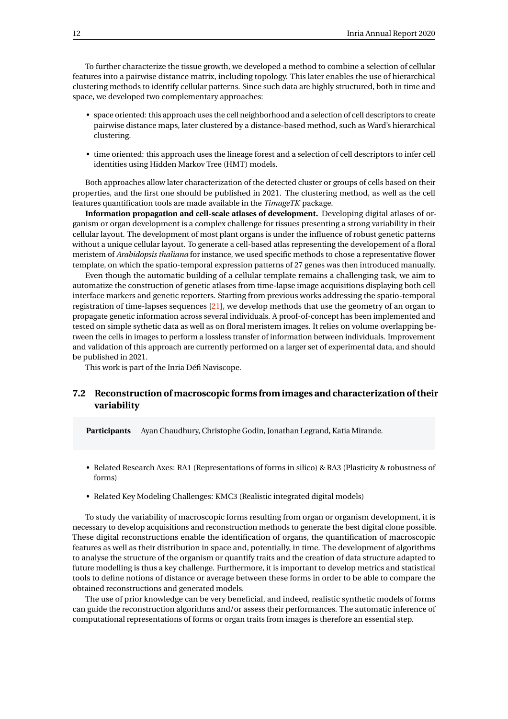To further characterize the tissue growth, we developed a method to combine a selection of cellular features into a pairwise distance matrix, including topology. This later enables the use of hierarchical clustering methods to identify cellular patterns. Since such data are highly structured, both in time and space, we developed two complementary approaches:

- space oriented: this approach uses the cell neighborhood and a selection of cell descriptors to create pairwise distance maps, later clustered by a distance-based method, such as Ward's hierarchical clustering.
- time oriented: this approach uses the lineage forest and a selection of cell descriptors to infer cell identities using Hidden Markov Tree (HMT) models.

Both approaches allow later characterization of the detected cluster or groups of cells based on their properties, and the first one should be published in 2021. The clustering method, as well as the cell features quantification tools are made available in the *TimageTK* package.

**Information propagation and cell-scale atlases of development.** Developing digital atlases of organism or organ development is a complex challenge for tissues presenting a strong variability in their cellular layout. The development of most plant organs is under the influence of robust genetic patterns without a unique cellular layout. To generate a cell-based atlas representing the developement of a floral meristem of *Arabidopsis thaliana* for instance, we used specific methods to chose a representative flower template, on which the spatio-temporal expression patterns of 27 genes was then introduced manually.

Even though the automatic building of a cellular template remains a challenging task, we aim to automatize the construction of genetic atlases from time-lapse image acquisitions displaying both cell interface markers and genetic reporters. Starting from previous works addressing the spatio-temporal registration of time-lapses sequences [\[21\]](#page-28-2), we develop methods that use the geometry of an organ to propagate genetic information across several individuals. A proof-of-concept has been implemented and tested on simple sythetic data as well as on floral meristem images. It relies on volume overlapping between the cells in images to perform a lossless transfer of information between individuals. Improvement and validation of this approach are currently performed on a larger set of experimental data, and should be published in 2021.

This work is part of the Inria Défi Naviscope.

# <span id="page-14-0"></span>**7.2 Reconstruction of macroscopic forms from images and characterization of their variability**

**Participants** Ayan Chaudhury, Christophe Godin, Jonathan Legrand, Katia Mirande.

- Related Research Axes: RA1 (Representations of forms in silico) & RA3 (Plasticity & robustness of forms)
- Related Key Modeling Challenges: KMC3 (Realistic integrated digital models)

To study the variability of macroscopic forms resulting from organ or organism development, it is necessary to develop acquisitions and reconstruction methods to generate the best digital clone possible. These digital reconstructions enable the identification of organs, the quantification of macroscopic features as well as their distribution in space and, potentially, in time. The development of algorithms to analyse the structure of the organism or quantify traits and the creation of data structure adapted to future modelling is thus a key challenge. Furthermore, it is important to develop metrics and statistical tools to define notions of distance or average between these forms in order to be able to compare the obtained reconstructions and generated models.

The use of prior knowledge can be very beneficial, and indeed, realistic synthetic models of forms can guide the reconstruction algorithms and/or assess their performances. The automatic inference of computational representations of forms or organ traits from images is therefore an essential step.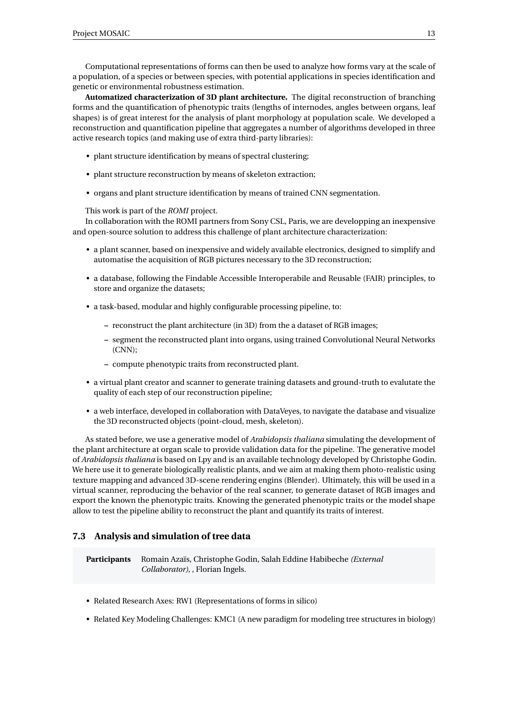Computational representations of forms can then be used to analyze how forms vary at the scale of a population, of a species or between species, with potential applications in species identification and genetic or environmental robustness estimation.

**Automatized characterization of 3D plant architecture.** The digital reconstruction of branching forms and the quantification of phenotypic traits (lengths of internodes, angles between organs, leaf shapes) is of great interest for the analysis of plant morphology at population scale. We developed a reconstruction and quantification pipeline that aggregates a number of algorithms developed in three active research topics (and making use of extra third-party libraries):

- plant structure identification by means of spectral clustering;
- plant structure reconstruction by means of skeleton extraction;
- organs and plant structure identification by means of trained CNN segmentation.

This work is part of the *ROMI* project.

In collaboration with the ROMI partners from Sony CSL, Paris, we are developping an inexpensive and open-source solution to address this challenge of plant architecture characterization:

- a plant scanner, based on inexpensive and widely available electronics, designed to simplify and automatise the acquisition of RGB pictures necessary to the 3D reconstruction;
- a database, following the Findable Accessible Interoperabile and Reusable (FAIR) principles, to store and organize the datasets;
- a task-based, modular and highly configurable processing pipeline, to:
	- **–** reconstruct the plant architecture (in 3D) from the a dataset of RGB images;
	- **–** segment the reconstructed plant into organs, using trained Convolutional Neural Networks (CNN);
	- **–** compute phenotypic traits from reconstructed plant.
- a virtual plant creator and scanner to generate training datasets and ground-truth to evalutate the quality of each step of our reconstruction pipeline;
- a web interface, developed in collaboration with DataVeyes, to navigate the database and visualize the 3D reconstructed objects (point-cloud, mesh, skeleton).

As stated before, we use a generative model of *Arabidopsis thaliana* simulating the development of the plant architecture at organ scale to provide validation data for the pipeline. The generative model of *Arabidopsis thaliana* is based on Lpy and is an available technology developed by Christophe Godin. We here use it to generate biologically realistic plants, and we aim at making them photo-realistic using texture mapping and advanced 3D-scene rendering engins (Blender). Ultimately, this will be used in a virtual scanner, reproducing the behavior of the real scanner, to generate dataset of RGB images and export the known the phenotypic traits. Knowing the generated phenotypic traits or the model shape allow to test the pipeline ability to reconstruct the plant and quantify its traits of interest.

# <span id="page-15-0"></span>**7.3 Analysis and simulation of tree data**

**Participants** Romain Azaïs, Christophe Godin, Salah Eddine Habibeche *(External Collaborator)*, , Florian Ingels.

- Related Research Axes: RW1 (Representations of forms in silico)
- Related Key Modeling Challenges: KMC1 (A new paradigm for modeling tree structures in biology)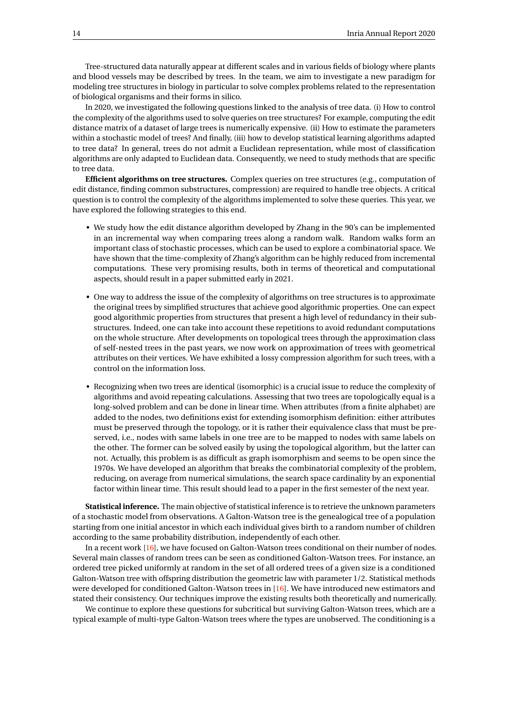Tree-structured data naturally appear at different scales and in various fields of biology where plants and blood vessels may be described by trees. In the team, we aim to investigate a new paradigm for modeling tree structures in biology in particular to solve complex problems related to the representation of biological organisms and their forms in silico.

In 2020, we investigated the following questions linked to the analysis of tree data. (i) How to control the complexity of the algorithms used to solve queries on tree structures? For example, computing the edit distance matrix of a dataset of large trees is numerically expensive. (ii) How to estimate the parameters within a stochastic model of trees? And finally, (iii) how to develop statistical learning algorithms adapted to tree data? In general, trees do not admit a Euclidean representation, while most of classification algorithms are only adapted to Euclidean data. Consequently, we need to study methods that are specific to tree data.

**Efficient algorithms on tree structures.** Complex queries on tree structures (e.g., computation of edit distance, finding common substructures, compression) are required to handle tree objects. A critical question is to control the complexity of the algorithms implemented to solve these queries. This year, we have explored the following strategies to this end.

- We study how the edit distance algorithm developed by Zhang in the 90's can be implemented in an incremental way when comparing trees along a random walk. Random walks form an important class of stochastic processes, which can be used to explore a combinatorial space. We have shown that the time-complexity of Zhang's algorithm can be highly reduced from incremental computations. These very promising results, both in terms of theoretical and computational aspects, should result in a paper submitted early in 2021.
- One way to address the issue of the complexity of algorithms on tree structures is to approximate the original trees by simplified structures that achieve good algorithmic properties. One can expect good algorithmic properties from structures that present a high level of redundancy in their substructures. Indeed, one can take into account these repetitions to avoid redundant computations on the whole structure. After developments on topological trees through the approximation class of self-nested trees in the past years, we now work on approximation of trees with geometrical attributes on their vertices. We have exhibited a lossy compression algorithm for such trees, with a control on the information loss.
- Recognizing when two trees are identical (isomorphic) is a crucial issue to reduce the complexity of algorithms and avoid repeating calculations. Assessing that two trees are topologically equal is a long-solved problem and can be done in linear time. When attributes (from a finite alphabet) are added to the nodes, two definitions exist for extending isomorphism definition: either attributes must be preserved through the topology, or it is rather their equivalence class that must be preserved, i.e., nodes with same labels in one tree are to be mapped to nodes with same labels on the other. The former can be solved easily by using the topological algorithm, but the latter can not. Actually, this problem is as difficult as graph isomorphism and seems to be open since the 1970s. We have developed an algorithm that breaks the combinatorial complexity of the problem, reducing, on average from numerical simulations, the search space cardinality by an exponential factor within linear time. This result should lead to a paper in the first semester of the next year.

**Statistical inference.** The main objective of statistical inference is to retrieve the unknown parameters of a stochastic model from observations. A Galton-Watson tree is the genealogical tree of a population starting from one initial ancestor in which each individual gives birth to a random number of children according to the same probability distribution, independently of each other.

In a recent work [\[16\]](#page-28-3), we have focused on Galton-Watson trees conditional on their number of nodes. Several main classes of random trees can be seen as conditioned Galton-Watson trees. For instance, an ordered tree picked uniformly at random in the set of all ordered trees of a given size is a conditioned Galton-Watson tree with offspring distribution the geometric law with parameter 1/2. Statistical methods were developed for conditioned Galton-Watson trees in [\[16\]](#page-28-3). We have introduced new estimators and stated their consistency. Our techniques improve the existing results both theoretically and numerically.

We continue to explore these questions for subcritical but surviving Galton-Watson trees, which are a typical example of multi-type Galton-Watson trees where the types are unobserved. The conditioning is a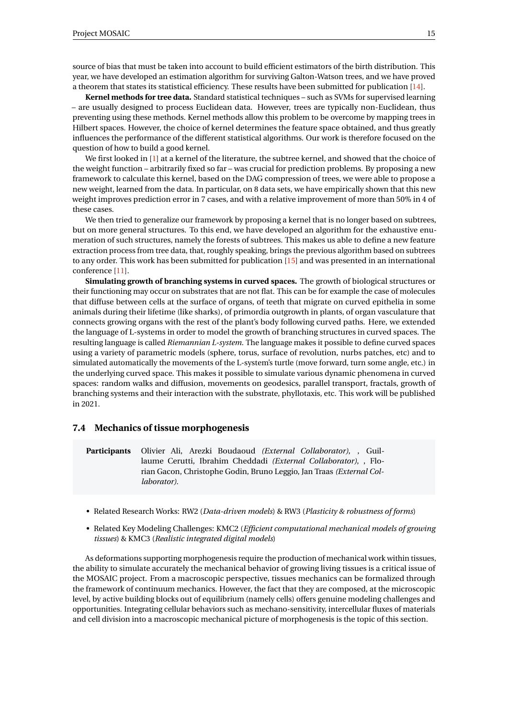source of bias that must be taken into account to build efficient estimators of the birth distribution. This year, we have developed an estimation algorithm for surviving Galton-Watson trees, and we have proved a theorem that states its statistical efficiency. These results have been submitted for publication [\[14\]](#page-28-4).

**Kernel methods for tree data.** Standard statistical techniques – such as SVMs for supervised learning – are usually designed to process Euclidean data. However, trees are typically non-Euclidean, thus preventing using these methods. Kernel methods allow this problem to be overcome by mapping trees in Hilbert spaces. However, the choice of kernel determines the feature space obtained, and thus greatly influences the performance of the different statistical algorithms. Our work is therefore focused on the question of how to build a good kernel.

We first looked in [\[1\]](#page-27-9) at a kernel of the literature, the subtree kernel, and showed that the choice of the weight function – arbitrarily fixed so far – was crucial for prediction problems. By proposing a new framework to calculate this kernel, based on the DAG compression of trees, we were able to propose a new weight, learned from the data. In particular, on 8 data sets, we have empirically shown that this new weight improves prediction error in 7 cases, and with a relative improvement of more than 50% in 4 of these cases.

We then tried to generalize our framework by proposing a kernel that is no longer based on subtrees, but on more general structures. To this end, we have developed an algorithm for the exhaustive enumeration of such structures, namely the forests of subtrees. This makes us able to define a new feature extraction process from tree data, that, roughly speaking, brings the previous algorithm based on subtrees to any order. This work has been submitted for publication [\[15\]](#page-28-5) and was presented in an international conference [\[11\]](#page-28-6).

**Simulating growth of branching systems in curved spaces.** The growth of biological structures or their functioning may occur on substrates that are not flat. This can be for example the case of molecules that diffuse between cells at the surface of organs, of teeth that migrate on curved epithelia in some animals during their lifetime (like sharks), of primordia outgrowth in plants, of organ vasculature that connects growing organs with the rest of the plant's body following curved paths. Here, we extended the language of L-systems in order to model the growth of branching structures in curved spaces. The resulting language is called *Riemannian L-system*. The language makes it possible to define curved spaces using a variety of parametric models (sphere, torus, surface of revolution, nurbs patches, etc) and to simulated automatically the movements of the L-system's turtle (move forward, turn some angle, etc.) in the underlying curved space. This makes it possible to simulate various dynamic phenomena in curved spaces: random walks and diffusion, movements on geodesics, parallel transport, fractals, growth of branching systems and their interaction with the substrate, phyllotaxis, etc. This work will be published in 2021.

#### <span id="page-17-0"></span>**7.4 Mechanics of tissue morphogenesis**

**Participants** Olivier Ali, Arezki Boudaoud *(External Collaborator)*, , Guillaume Cerutti, Ibrahim Cheddadi *(External Collaborator)*, , Florian Gacon, Christophe Godin, Bruno Leggio, Jan Traas *(External Collaborator)*.

- Related Research Works: RW2 (*Data-driven models*) & RW3 (*Plasticity & robustness of forms*)
- Related Key Modeling Challenges: KMC2 (*Efficient computational mechanical models of growing tissues*) & KMC3 (*Realistic integrated digital models*)

As deformations supporting morphogenesis require the production of mechanical work within tissues, the ability to simulate accurately the mechanical behavior of growing living tissues is a critical issue of the MOSAIC project. From a macroscopic perspective, tissues mechanics can be formalized through the framework of continuum mechanics. However, the fact that they are composed, at the microscopic level, by active building blocks out of equilibrium (namely cells) offers genuine modeling challenges and opportunities. Integrating cellular behaviors such as mechano-sensitivity, intercellular fluxes of materials and cell division into a macroscopic mechanical picture of morphogenesis is the topic of this section.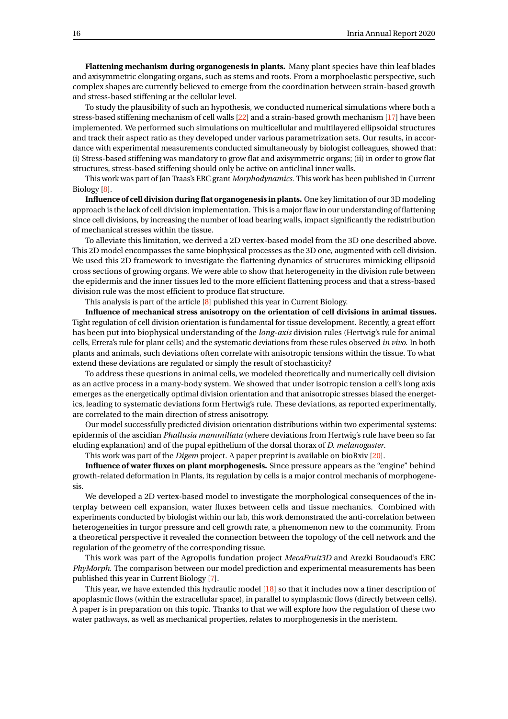**Flattening mechanism during organogenesis in plants.** Many plant species have thin leaf blades and axisymmetric elongating organs, such as stems and roots. From a morphoelastic perspective, such complex shapes are currently believed to emerge from the coordination between strain-based growth and stress-based stiffening at the cellular level.

To study the plausibility of such an hypothesis, we conducted numerical simulations where both a stress-based stiffening mechanism of cell walls [\[22\]](#page-29-0) and a strain-based growth mechanism [\[17\]](#page-28-7) have been implemented. We performed such simulations on multicellular and multilayered ellipsoidal structures and track their aspect ratio as they developed under various parametrization sets. Our results, in accordance with experimental measurements conducted simultaneously by biologist colleagues, showed that: (i) Stress-based stiffening was mandatory to grow flat and axisymmetric organs; (ii) in order to grow flat structures, stress-based stiffening should only be active on anticlinal inner walls.

This work was part of Jan Traas's ERC grant *Morphodynamics*. This work has been published in Current Biology [\[8\]](#page-27-10).

**Influence of cell division during flat organogenesis in plants.** One key limitation of our 3D modeling approach is the lack of cell division implementation. This is a major flaw in our understanding of flattening since cell divisions, by increasing the number of load bearing walls, impact significantly the redistribution of mechanical stresses within the tissue.

To alleviate this limitation, we derived a 2D vertex-based model from the 3D one described above. This 2D model encompasses the same biophysical processes as the 3D one, augmented with cell division. We used this 2D framework to investigate the flattening dynamics of structures mimicking ellipsoid cross sections of growing organs. We were able to show that heterogeneity in the division rule between the epidermis and the inner tissues led to the more efficient flattening process and that a stress-based division rule was the most efficient to produce flat structure.

This analysis is part of the article [\[8\]](#page-27-10) published this year in Current Biology.

**Influence of mechanical stress anisotropy on the orientation of cell divisions in animal tissues.** Tight regulation of cell division orientation is fundamental for tissue development. Recently, a great effort has been put into biophysical understanding of the *long-axis* division rules (Hertwig's rule for animal cells, Errera's rule for plant cells) and the systematic deviations from these rules observed *in vivo*. In both plants and animals, such deviations often correlate with anisotropic tensions within the tissue. To what extend these deviations are regulated or simply the result of stochasticity?

To address these questions in animal cells, we modeled theoretically and numerically cell division as an active process in a many-body system. We showed that under isotropic tension a cell's long axis emerges as the energetically optimal division orientation and that anisotropic stresses biased the energetics, leading to systematic deviations form Hertwig's rule. These deviations, as reported experimentally, are correlated to the main direction of stress anisotropy.

Our model successfully predicted division orientation distributions within two experimental systems: epidermis of the ascidian *Phallusia mammillata* (where deviations from Hertwig's rule have been so far eluding explanation) and of the pupal epithelium of the dorsal thorax of *D. melanogaster*.

This work was part of the *Digem* project. A paper preprint is available on bioRxiv [\[20\]](#page-28-8).

**Influence of water fluxes on plant morphogenesis.** Since pressure appears as the "engine" behind growth-related deformation in Plants, its regulation by cells is a major control mechanis of morphogenesis.

We developed a 2D vertex-based model to investigate the morphological consequences of the interplay between cell expansion, water fluxes between cells and tissue mechanics. Combined with experiments conducted by biologist within our lab, this work demonstrated the anti-correlation between heterogeneities in turgor pressure and cell growth rate, a phenomenon new to the community. From a theoretical perspective it revealed the connection between the topology of the cell network and the regulation of the geometry of the corresponding tissue.

This work was part of the Agropolis fundation project *MecaFruit3D* and Arezki Boudaoud's ERC *PhyMorph*. The comparison between our model prediction and experimental measurements has been published this year in Current Biology [\[7\]](#page-27-11).

This year, we have extended this hydraulic model [\[18\]](#page-28-9) so that it includes now a finer description of apoplasmic flows (within the extracellular space), in parallel to symplasmic flows (directly between cells). A paper is in preparation on this topic. Thanks to that we will explore how the regulation of these two water pathways, as well as mechanical properties, relates to morphogenesis in the meristem.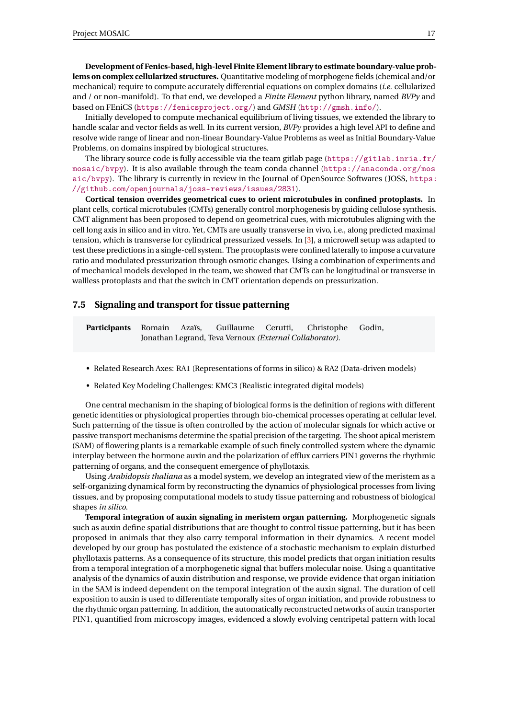**Development of Fenics-based, high-level Finite Element library to estimate boundary-value problems on complex cellularized structures.** Quantitative modeling of morphogene fields (chemical and/or mechanical) require to compute accurately differential equations on complex domains (*i.e.* cellularized and / or non-manifold). To that end, we developed a *Finite Element* python library, named *BVPy* and based on FEniCS (<https://fenicsproject.org/>) and *GMSH* (<http://gmsh.info/>).

Initially developed to compute mechanical equilibrium of living tissues, we extended the library to handle scalar and vector fields as well. In its current version, *BVPy* provides a high level API to define and resolve wide range of linear and non-linear Boundary-Value Problems as weel as Initial Boundary-Value Problems, on domains inspired by biological structures.

The library source code is fully accessible via the team gitlab page ([https://gitlab.inria.fr/](https://gitlab.inria.fr/mosaic/bvpy) [mosaic/bvpy](https://gitlab.inria.fr/mosaic/bvpy)). It is also available through the team conda channel ([https://anaconda.org/mos](https://anaconda.org/mosaic/bvpy) [aic/bvpy](https://anaconda.org/mosaic/bvpy)). The library is currently in review in the Journal of OpenSource Softwares (JOSS, [https:](https://github.com/openjournals/joss-reviews/issues/2831) [//github.com/openjournals/joss-reviews/issues/2831](https://github.com/openjournals/joss-reviews/issues/2831)).

**Cortical tension overrides geometrical cues to orient microtubules in confined protoplasts.** In plant cells, cortical microtubules (CMTs) generally control morphogenesis by guiding cellulose synthesis. CMT alignment has been proposed to depend on geometrical cues, with microtubules aligning with the cell long axis in silico and in vitro. Yet, CMTs are usually transverse in vivo, i.e., along predicted maximal tension, which is transverse for cylindrical pressurized vessels. In [\[3\]](#page-27-12), a microwell setup was adapted to test these predictions in a single-cell system. The protoplasts were confined laterally to impose a curvature ratio and modulated pressurization through osmotic changes. Using a combination of experiments and of mechanical models developed in the team, we showed that CMTs can be longitudinal or transverse in wallless protoplasts and that the switch in CMT orientation depends on pressurization.

#### <span id="page-19-0"></span>**7.5 Signaling and transport for tissue patterning**

**Participants** Romain Azaïs, Guillaume Cerutti, Christophe Godin, Jonathan Legrand, Teva Vernoux *(External Collaborator)*.

- Related Research Axes: RA1 (Representations of forms in silico) & RA2 (Data-driven models)
- Related Key Modeling Challenges: KMC3 (Realistic integrated digital models)

One central mechanism in the shaping of biological forms is the definition of regions with different genetic identities or physiological properties through bio-chemical processes operating at cellular level. Such patterning of the tissue is often controlled by the action of molecular signals for which active or passive transport mechanisms determine the spatial precision of the targeting. The shoot apical meristem (SAM) of flowering plants is a remarkable example of such finely controlled system where the dynamic interplay between the hormone auxin and the polarization of efflux carriers PIN1 governs the rhythmic patterning of organs, and the consequent emergence of phyllotaxis.

Using *Arabidopsis thaliana* as a model system, we develop an integrated view of the meristem as a self-organizing dynamical form by reconstructing the dynamics of physiological processes from living tissues, and by proposing computational models to study tissue patterning and robustness of biological shapes *in silico*.

**Temporal integration of auxin signaling in meristem organ patterning.** Morphogenetic signals such as auxin define spatial distributions that are thought to control tissue patterning, but it has been proposed in animals that they also carry temporal information in their dynamics. A recent model developed by our group has postulated the existence of a stochastic mechanism to explain disturbed phyllotaxis patterns. As a consequence of its structure, this model predicts that organ initiation results from a temporal integration of a morphogenetic signal that buffers molecular noise. Using a quantitative analysis of the dynamics of auxin distribution and response, we provide evidence that organ initiation in the SAM is indeed dependent on the temporal integration of the auxin signal. The duration of cell exposition to auxin is used to differentiate temporally sites of organ initiation, and provide robustness to the rhythmic organ patterning. In addition, the automatically reconstructed networks of auxin transporter PIN1, quantified from microscopy images, evidenced a slowly evolving centripetal pattern with local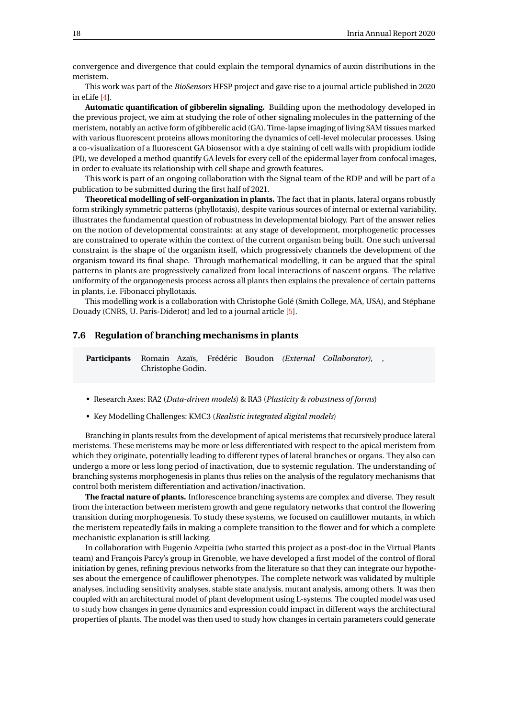convergence and divergence that could explain the temporal dynamics of auxin distributions in the meristem.

This work was part of the *BioSensors* HFSP project and gave rise to a journal article published in 2020 in eLife [\[4\]](#page-27-8).

**Automatic quantification of gibberelin signaling.** Building upon the methodology developed in the previous project, we aim at studying the role of other signaling molecules in the patterning of the meristem, notably an active form of gibberelic acid (GA). Time-lapse imaging of living SAM tissues marked with various fluorescent proteins allows monitoring the dynamics of cell-level molecular processes. Using a co-visualization of a fluorescent GA biosensor with a dye staining of cell walls with propidium iodide (PI), we developed a method quantify GA levels for every cell of the epidermal layer from confocal images, in order to evaluate its relationship with cell shape and growth features.

This work is part of an ongoing collaboration with the Signal team of the RDP and will be part of a publication to be submitted during the first half of 2021.

**Theoretical modelling of self-organization in plants.** The fact that in plants, lateral organs robustly form strikingly symmetric patterns (phyllotaxis), despite various sources of internal or external variability, illustrates the fundamental question of robustness in developmental biology. Part of the answer relies on the notion of developmental constraints: at any stage of development, morphogenetic processes are constrained to operate within the context of the current organism being built. One such universal constraint is the shape of the organism itself, which progressively channels the development of the organism toward its final shape. Through mathematical modelling, it can be argued that the spiral patterns in plants are progressively canalized from local interactions of nascent organs. The relative uniformity of the organogenesis process across all plants then explains the prevalence of certain patterns in plants, i.e. Fibonacci phyllotaxis.

This modelling work is a collaboration with Christophe Golé (Smith College, MA, USA), and Stéphane Douady (CNRS, U. Paris-Diderot) and led to a journal article [\[5\]](#page-27-13).

#### <span id="page-20-0"></span>**7.6 Regulation of branching mechanisms in plants**

**Participants** Romain Azaïs, Frédéric Boudon *(External Collaborator)*, , Christophe Godin.

- Research Axes: RA2 (*Data-driven models*) & RA3 (*Plasticity & robustness of forms*)
- Key Modelling Challenges: KMC3 (*Realistic integrated digital models*)

Branching in plants results from the development of apical meristems that recursively produce lateral meristems. These meristems may be more or less differentiated with respect to the apical meristem from which they originate, potentially leading to different types of lateral branches or organs. They also can undergo a more or less long period of inactivation, due to systemic regulation. The understanding of branching systems morphogenesis in plants thus relies on the analysis of the regulatory mechanisms that control both meristem differentiation and activation/inactivation.

**The fractal nature of plants.** Inflorescence branching systems are complex and diverse. They result from the interaction between meristem growth and gene regulatory networks that control the flowering transition during morphogenesis. To study these systems, we focused on cauliflower mutants, in which the meristem repeatedly fails in making a complete transition to the flower and for which a complete mechanistic explanation is still lacking.

In collaboration with Eugenio Azpeitia (who started this project as a post-doc in the Virtual Plants team) and François Parcy's group in Grenoble, we have developed a first model of the control of floral initiation by genes, refining previous networks from the literature so that they can integrate our hypotheses about the emergence of cauliflower phenotypes. The complete network was validated by multiple analyses, including sensitivity analyses, stable state analysis, mutant analysis, among others. It was then coupled with an architectural model of plant development using L-systems. The coupled model was used to study how changes in gene dynamics and expression could impact in different ways the architectural properties of plants. The model was then used to study how changes in certain parameters could generate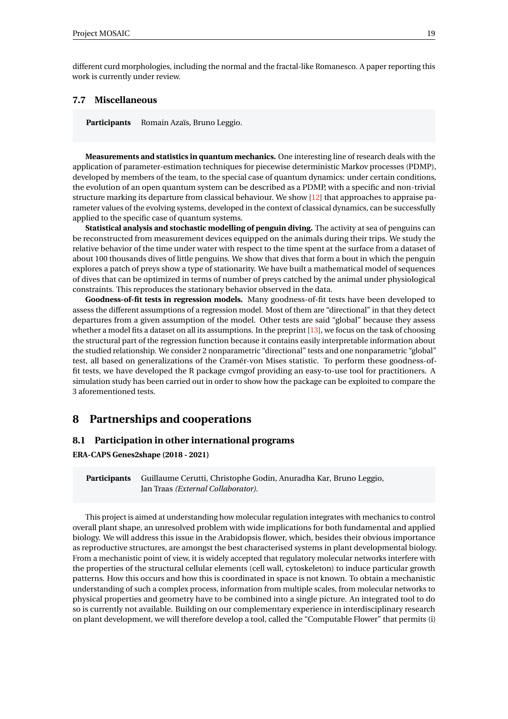different curd morphologies, including the normal and the fractal-like Romanesco. A paper reporting this work is currently under review.

#### <span id="page-21-0"></span>**7.7 Miscellaneous**

**Participants** Romain Azaïs, Bruno Leggio.

**Measurements and statistics in quantum mechanics.** One interesting line of research deals with the application of parameter-estimation techniques for piecewise deterministic Markov processes (PDMP), developed by members of the team, to the special case of quantum dynamics: under certain conditions, the evolution of an open quantum system can be described as a PDMP, with a specific and non-trivial structure marking its departure from classical behaviour. We show [\[12\]](#page-28-10) that approaches to appraise parameter values of the evolving systems, developed in the context of classical dynamics, can be successfully applied to the specific case of quantum systems.

**Statistical analysis and stochastic modelling of penguin diving.** The activity at sea of penguins can be reconstructed from measurement devices equipped on the animals during their trips. We study the relative behavior of the time under water with respect to the time spent at the surface from a dataset of about 100 thousands dives of little penguins. We show that dives that form a bout in which the penguin explores a patch of preys show a type of stationarity. We have built a mathematical model of sequences of dives that can be optimized in terms of number of preys catched by the animal under physiological constraints. This reproduces the stationary behavior observed in the data.

**Goodness-of-fit tests in regression models.** Many goodness-of-fit tests have been developed to assess the different assumptions of a regression model. Most of them are "directional" in that they detect departures from a given assumption of the model. Other tests are said "global" because they assess whether a model fits a dataset on all its assumptions. In the preprint [\[13\]](#page-28-11), we focus on the task of choosing the structural part of the regression function because it contains easily interpretable information about the studied relationship. We consider 2 nonparametric "directional" tests and one nonparametric "global" test, all based on generalizations of the Cramér-von Mises statistic. To perform these goodness-offit tests, we have developed the R package cvmgof providing an easy-to-use tool for practitioners. A simulation study has been carried out in order to show how the package can be exploited to compare the 3 aforementioned tests.

# <span id="page-21-1"></span>**8 Partnerships and cooperations**

#### <span id="page-21-2"></span>**8.1 Participation in other international programs**

**ERA-CAPS Genes2shape (2018 - 2021)**

**Participants** Guillaume Cerutti, Christophe Godin, Anuradha Kar, Bruno Leggio, Jan Traas *(External Collaborator)*.

This project is aimed at understanding how molecular regulation integrates with mechanics to control overall plant shape, an unresolved problem with wide implications for both fundamental and applied biology. We will address this issue in the Arabidopsis flower, which, besides their obvious importance as reproductive structures, are amongst the best characterised systems in plant developmental biology. From a mechanistic point of view, it is widely accepted that regulatory molecular networks interfere with the properties of the structural cellular elements (cell wall, cytoskeleton) to induce particular growth patterns. How this occurs and how this is coordinated in space is not known. To obtain a mechanistic understanding of such a complex process, information from multiple scales, from molecular networks to physical properties and geometry have to be combined into a single picture. An integrated tool to do so is currently not available. Building on our complementary experience in interdisciplinary research on plant development, we will therefore develop a tool, called the "Computable Flower" that permits (i)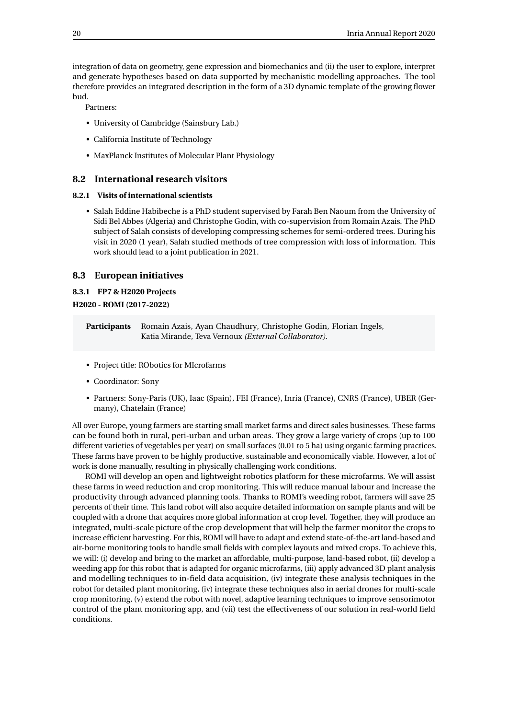integration of data on geometry, gene expression and biomechanics and (ii) the user to explore, interpret and generate hypotheses based on data supported by mechanistic modelling approaches. The tool therefore provides an integrated description in the form of a 3D dynamic template of the growing flower bud.

Partners:

- University of Cambridge (Sainsbury Lab.)
- California Institute of Technology
- MaxPlanck Institutes of Molecular Plant Physiology

#### <span id="page-22-0"></span>**8.2 International research visitors**

#### <span id="page-22-1"></span>**8.2.1 Visits of international scientists**

• Salah Eddine Habibeche is a PhD student supervised by Farah Ben Naoum from the University of Sidi Bel Abbes (Algeria) and Christophe Godin, with co-supervision from Romain Azais. The PhD subject of Salah consists of developing compressing schemes for semi-ordered trees. During his visit in 2020 (1 year), Salah studied methods of tree compression with loss of information. This work should lead to a joint publication in 2021.

#### <span id="page-22-2"></span>**8.3 European initiatives**

#### <span id="page-22-3"></span>**8.3.1 FP7 & H2020 Projects**

**H2020 - ROMI (2017-2022)**

**Participants** Romain Azais, Ayan Chaudhury, Christophe Godin, Florian Ingels, Katia Mirande, Teva Vernoux *(External Collaborator)*.

- Project title: RObotics for MIcrofarms
- Coordinator: Sony
- Partners: Sony-Paris (UK), Iaac (Spain), FEI (France), Inria (France), CNRS (France), UBER (Germany), Chatelain (France)

All over Europe, young farmers are starting small market farms and direct sales businesses. These farms can be found both in rural, peri-urban and urban areas. They grow a large variety of crops (up to 100 different varieties of vegetables per year) on small surfaces (0.01 to 5 ha) using organic farming practices. These farms have proven to be highly productive, sustainable and economically viable. However, a lot of work is done manually, resulting in physically challenging work conditions.

ROMI will develop an open and lightweight robotics platform for these microfarms. We will assist these farms in weed reduction and crop monitoring. This will reduce manual labour and increase the productivity through advanced planning tools. Thanks to ROMI's weeding robot, farmers will save 25 percents of their time. This land robot will also acquire detailed information on sample plants and will be coupled with a drone that acquires more global information at crop level. Together, they will produce an integrated, multi-scale picture of the crop development that will help the farmer monitor the crops to increase efficient harvesting. For this, ROMI will have to adapt and extend state-of-the-art land-based and air-borne monitoring tools to handle small fields with complex layouts and mixed crops. To achieve this, we will: (i) develop and bring to the market an affordable, multi-purpose, land-based robot, (ii) develop a weeding app for this robot that is adapted for organic microfarms, (iii) apply advanced 3D plant analysis and modelling techniques to in-field data acquisition, (iv) integrate these analysis techniques in the robot for detailed plant monitoring, (iv) integrate these techniques also in aerial drones for multi-scale crop monitoring, (v) extend the robot with novel, adaptive learning techniques to improve sensorimotor control of the plant monitoring app, and (vii) test the effectiveness of our solution in real-world field conditions.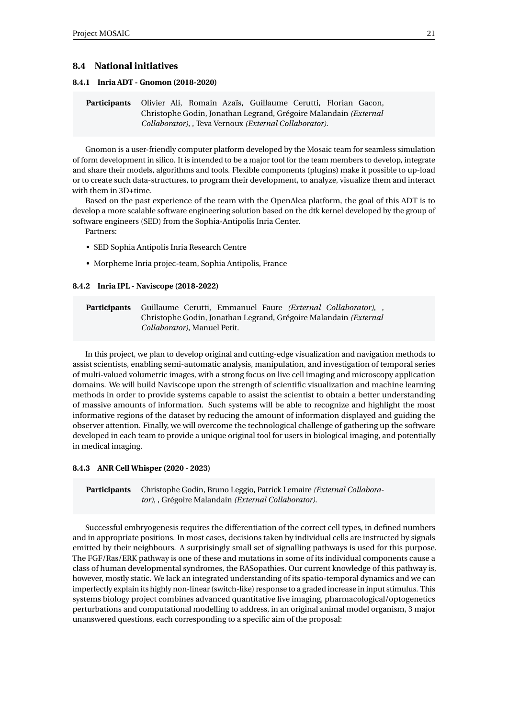#### <span id="page-23-0"></span>**8.4 National initiatives**

#### <span id="page-23-1"></span>**8.4.1 Inria ADT - Gnomon (2018-2020)**

**Participants** Olivier Ali, Romain Azaïs, Guillaume Cerutti, Florian Gacon, Christophe Godin, Jonathan Legrand, Grégoire Malandain *(External Collaborator)*, , Teva Vernoux *(External Collaborator)*.

Gnomon is a user-friendly computer platform developed by the Mosaic team for seamless simulation of form development in silico. It is intended to be a major tool for the team members to develop, integrate and share their models, algorithms and tools. Flexible components (plugins) make it possible to up-load or to create such data-structures, to program their development, to analyze, visualize them and interact with them in 3D+time.

Based on the past experience of the team with the OpenAlea platform, the goal of this ADT is to develop a more scalable software engineering solution based on the dtk kernel developed by the group of software engineers (SED) from the Sophia-Antipolis Inria Center.

Partners:

- SED Sophia Antipolis Inria Research Centre
- Morpheme Inria projec-team, Sophia Antipolis, France

#### <span id="page-23-2"></span>**8.4.2 Inria IPL - Naviscope (2018-2022)**

**Participants** Guillaume Cerutti, Emmanuel Faure *(External Collaborator)*, , Christophe Godin, Jonathan Legrand, Grégoire Malandain *(External Collaborator)*, Manuel Petit.

In this project, we plan to develop original and cutting-edge visualization and navigation methods to assist scientists, enabling semi-automatic analysis, manipulation, and investigation of temporal series of multi-valued volumetric images, with a strong focus on live cell imaging and microscopy application domains. We will build Naviscope upon the strength of scientific visualization and machine learning methods in order to provide systems capable to assist the scientist to obtain a better understanding of massive amounts of information. Such systems will be able to recognize and highlight the most informative regions of the dataset by reducing the amount of information displayed and guiding the observer attention. Finally, we will overcome the technological challenge of gathering up the software developed in each team to provide a unique original tool for users in biological imaging, and potentially in medical imaging.

#### <span id="page-23-3"></span>**8.4.3 ANR Cell Whisper (2020 - 2023)**

**Participants** Christophe Godin, Bruno Leggio, Patrick Lemaire *(External Collaborator)*, , Grégoire Malandain *(External Collaborator)*.

Successful embryogenesis requires the differentiation of the correct cell types, in defined numbers and in appropriate positions. In most cases, decisions taken by individual cells are instructed by signals emitted by their neighbours. A surprisingly small set of signalling pathways is used for this purpose. The FGF/Ras/ERK pathway is one of these and mutations in some of its individual components cause a class of human developmental syndromes, the RASopathies. Our current knowledge of this pathway is, however, mostly static. We lack an integrated understanding of its spatio-temporal dynamics and we can imperfectly explain its highly non-linear (switch-like) response to a graded increase in input stimulus. This systems biology project combines advanced quantitative live imaging, pharmacological/optogenetics perturbations and computational modelling to address, in an original animal model organism, 3 major unanswered questions, each corresponding to a specific aim of the proposal: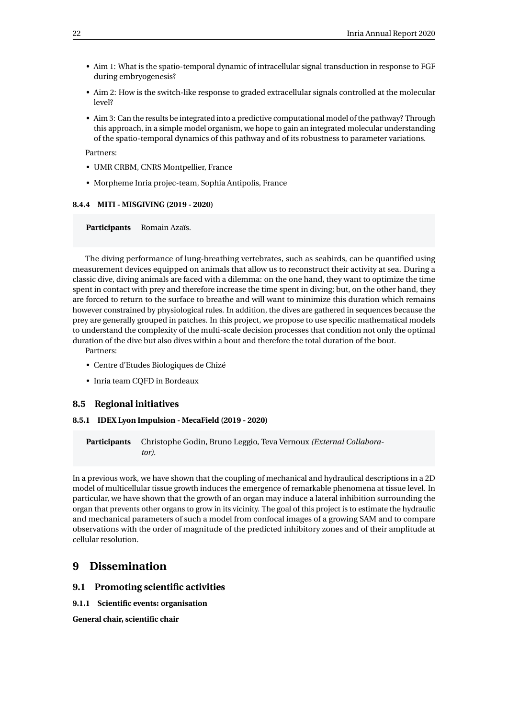- Aim 1: What is the spatio-temporal dynamic of intracellular signal transduction in response to FGF during embryogenesis?
- Aim 2: How is the switch-like response to graded extracellular signals controlled at the molecular level?
- Aim 3: Can the results be integrated into a predictive computational model of the pathway? Through this approach, in a simple model organism, we hope to gain an integrated molecular understanding of the spatio-temporal dynamics of this pathway and of its robustness to parameter variations.

Partners:

- UMR CRBM, CNRS Montpellier, France
- Morpheme Inria projec-team, Sophia Antipolis, France

#### <span id="page-24-0"></span>**8.4.4 MITI - MISGIVING (2019 - 2020)**

**Participants** Romain Azaïs.

The diving performance of lung-breathing vertebrates, such as seabirds, can be quantified using measurement devices equipped on animals that allow us to reconstruct their activity at sea. During a classic dive, diving animals are faced with a dilemma: on the one hand, they want to optimize the time spent in contact with prey and therefore increase the time spent in diving; but, on the other hand, they are forced to return to the surface to breathe and will want to minimize this duration which remains however constrained by physiological rules. In addition, the dives are gathered in sequences because the prey are generally grouped in patches. In this project, we propose to use specific mathematical models to understand the complexity of the multi-scale decision processes that condition not only the optimal duration of the dive but also dives within a bout and therefore the total duration of the bout.

Partners:

- Centre d'Etudes Biologiques de Chizé
- Inria team CQFD in Bordeaux

#### <span id="page-24-1"></span>**8.5 Regional initiatives**

#### <span id="page-24-2"></span>**8.5.1 IDEX Lyon Impulsion - MecaField (2019 - 2020)**

**Participants** Christophe Godin, Bruno Leggio, Teva Vernoux *(External Collaborator)*.

In a previous work, we have shown that the coupling of mechanical and hydraulical descriptions in a 2D model of multicellular tissue growth induces the emergence of remarkable phenomena at tissue level. In particular, we have shown that the growth of an organ may induce a lateral inhibition surrounding the organ that prevents other organs to grow in its vicinity. The goal of this project is to estimate the hydraulic and mechanical parameters of such a model from confocal images of a growing SAM and to compare observations with the order of magnitude of the predicted inhibitory zones and of their amplitude at cellular resolution.

# <span id="page-24-3"></span>**9 Dissemination**

#### <span id="page-24-4"></span>**9.1 Promoting scientific activities**

<span id="page-24-5"></span>**9.1.1 Scientific events: organisation**

**General chair, scientific chair**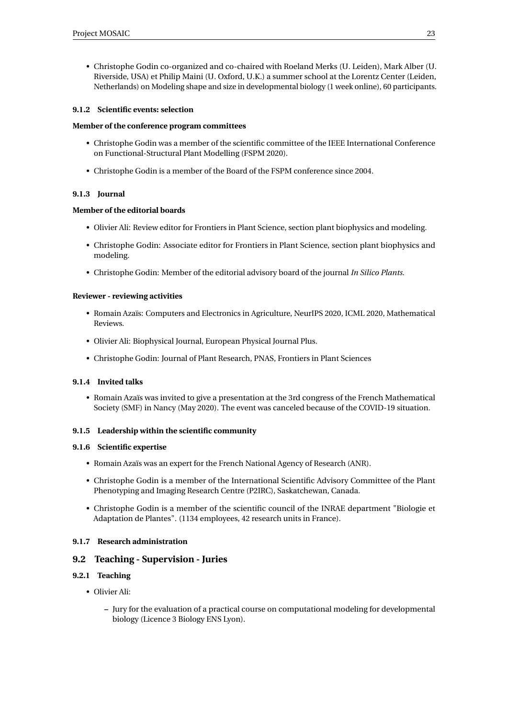• Christophe Godin co-organized and co-chaired with Roeland Merks (U. Leiden), Mark Alber (U. Riverside, USA) et Philip Maini (U. Oxford, U.K.) a summer school at the Lorentz Center (Leiden, Netherlands) on Modeling shape and size in developmental biology (1 week online), 60 participants.

#### <span id="page-25-0"></span>**9.1.2 Scientific events: selection**

#### **Member of the conference program committees**

- Christophe Godin was a member of the scientific committee of the IEEE International Conference on Functional-Structural Plant Modelling (FSPM 2020).
- Christophe Godin is a member of the Board of the FSPM conference since 2004.

#### <span id="page-25-1"></span>**9.1.3 Journal**

#### **Member of the editorial boards**

- Olivier Ali: Review editor for Frontiers in Plant Science, section plant biophysics and modeling.
- Christophe Godin: Associate editor for Frontiers in Plant Science, section plant biophysics and modeling.
- Christophe Godin: Member of the editorial advisory board of the journal *In Silico Plants*.

#### **Reviewer - reviewing activities**

- Romain Azaïs: Computers and Electronics in Agriculture, NeurIPS 2020, ICML 2020, Mathematical Reviews.
- Olivier Ali: Biophysical Journal, European Physical Journal Plus.
- Christophe Godin: Journal of Plant Research, PNAS, Frontiers in Plant Sciences

#### <span id="page-25-2"></span>**9.1.4 Invited talks**

• Romain Azaïs was invited to give a presentation at the 3rd congress of the French Mathematical Society (SMF) in Nancy (May 2020). The event was canceled because of the COVID-19 situation.

#### <span id="page-25-3"></span>**9.1.5 Leadership within the scientific community**

#### <span id="page-25-4"></span>**9.1.6 Scientific expertise**

- Romain Azaïs was an expert for the French National Agency of Research (ANR).
- Christophe Godin is a member of the International Scientific Advisory Committee of the Plant Phenotyping and Imaging Research Centre (P2IRC), Saskatchewan, Canada.
- Christophe Godin is a member of the scientific council of the INRAE department "Biologie et Adaptation de Plantes". (1134 employees, 42 research units in France).

#### <span id="page-25-5"></span>**9.1.7 Research administration**

#### <span id="page-25-6"></span>**9.2 Teaching - Supervision - Juries**

#### <span id="page-25-7"></span>**9.2.1 Teaching**

- Olivier Ali:
	- **–** Jury for the evaluation of a practical course on computational modeling for developmental biology (Licence 3 Biology ENS Lyon).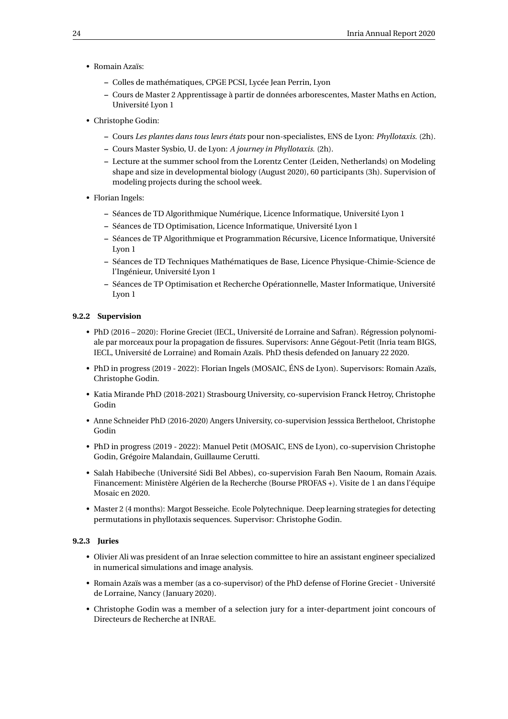- Romain Azaïs:
	- **–** Colles de mathématiques, CPGE PCSI, Lycée Jean Perrin, Lyon
	- **–** Cours de Master 2 Apprentissage à partir de données arborescentes, Master Maths en Action, Université Lyon 1
- Christophe Godin:
	- **–** Cours *Les plantes dans tous leurs états* pour non-specialistes, ENS de Lyon: *Phyllotaxis.* (2h).
	- **–** Cours Master Sysbio, U. de Lyon: *A journey in Phyllotaxis.* (2h).
	- **–** Lecture at the summer school from the Lorentz Center (Leiden, Netherlands) on Modeling shape and size in developmental biology (August 2020), 60 participants (3h). Supervision of modeling projects during the school week.
- Florian Ingels:
	- **–** Séances de TD Algorithmique Numérique, Licence Informatique, Université Lyon 1
	- **–** Séances de TD Optimisation, Licence Informatique, Université Lyon 1
	- **–** Séances de TP Algorithmique et Programmation Récursive, Licence Informatique, Université Lyon 1
	- **–** Séances de TD Techniques Mathématiques de Base, Licence Physique-Chimie-Science de l'Ingénieur, Université Lyon 1
	- **–** Séances de TP Optimisation et Recherche Opérationnelle, Master Informatique, Université Lyon 1

#### <span id="page-26-0"></span>**9.2.2 Supervision**

- PhD (2016 2020): Florine Greciet (IECL, Université de Lorraine and Safran). Régression polynomiale par morceaux pour la propagation de fissures. Supervisors: Anne Gégout-Petit (Inria team BIGS, IECL, Université de Lorraine) and Romain Azaïs. PhD thesis defended on January 22 2020.
- PhD in progress (2019 2022): Florian Ingels (MOSAIC, ÉNS de Lyon). Supervisors: Romain Azaïs, Christophe Godin.
- Katia Mirande PhD (2018-2021) Strasbourg University, co-supervision Franck Hetroy, Christophe Godin
- Anne Schneider PhD (2016-2020) Angers University, co-supervision Jesssica Bertheloot, Christophe Godin
- PhD in progress (2019 2022): Manuel Petit (MOSAIC, ENS de Lyon), co-supervision Christophe Godin, Grégoire Malandain, Guillaume Cerutti.
- Salah Habibeche (Université Sidi Bel Abbes), co-supervision Farah Ben Naoum, Romain Azais. Financement: Ministère Algérien de la Recherche (Bourse PROFAS +). Visite de 1 an dans l'équipe Mosaic en 2020.
- Master 2 (4 months): Margot Besseiche. Ecole Polytechnique. Deep learning strategies for detecting permutations in phyllotaxis sequences. Supervisor: Christophe Godin.

#### <span id="page-26-1"></span>**9.2.3 Juries**

- Olivier Ali was president of an Inrae selection committee to hire an assistant engineer specialized in numerical simulations and image analysis.
- Romain Azaïs was a member (as a co-supervisor) of the PhD defense of Florine Greciet Université de Lorraine, Nancy (January 2020).
- Christophe Godin was a member of a selection jury for a inter-department joint concours of Directeurs de Recherche at INRAE.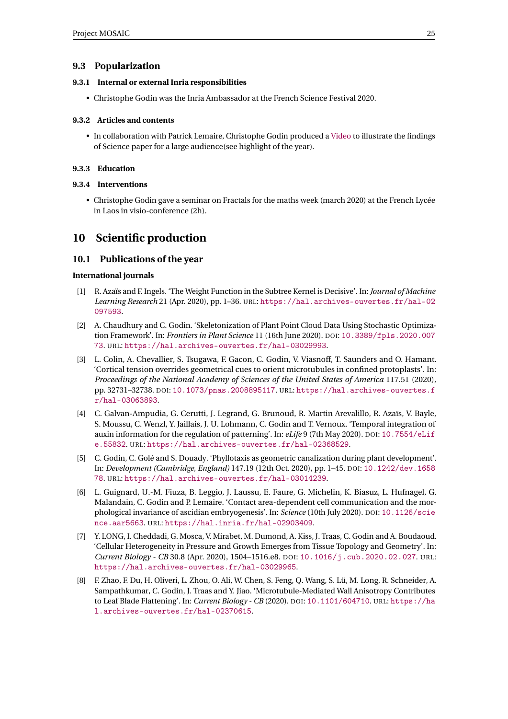#### <span id="page-27-0"></span>**9.3 Popularization**

#### <span id="page-27-1"></span>**9.3.1 Internal or external Inria responsibilities**

• Christophe Godin was the Inria Ambassador at the French Science Festival 2020.

#### <span id="page-27-2"></span>**9.3.2 Articles and contents**

• In collaboration with Patrick Lemaire, Christophe Godin produced a [Video](https://vimeo.com/434433967) to illustrate the findings of Science paper for a large audience(see highlight of the year).

#### <span id="page-27-3"></span>**9.3.3 Education**

#### <span id="page-27-4"></span>**9.3.4 Interventions**

• Christophe Godin gave a seminar on Fractals for the maths week (march 2020) at the French Lycée in Laos in visio-conference (2h).

# <span id="page-27-5"></span>**10 Scientific production**

#### <span id="page-27-6"></span>**10.1 Publications of the year**

#### **International journals**

- <span id="page-27-9"></span>[1] R. Azaïs and F. Ingels. 'The Weight Function in the Subtree Kernel is Decisive'. In: *Journal of Machine Learning Research* 21 (Apr. 2020), pp. 1–36. URL: [https://hal.archives-ouvertes.fr/hal-02](https://hal.archives-ouvertes.fr/hal-02097593) [097593](https://hal.archives-ouvertes.fr/hal-02097593).
- [2] A. Chaudhury and C. Godin. 'Skeletonization of Plant Point Cloud Data Using Stochastic Optimization Framework'. In: *Frontiers in Plant Science* 11 (16th June 2020). DOI: [10.3389/fpls.2020.007](https://doi.org/10.3389/fpls.2020.00773) [73](https://doi.org/10.3389/fpls.2020.00773). URL: <https://hal.archives-ouvertes.fr/hal-03029993>.
- <span id="page-27-12"></span>[3] L. Colin, A. Chevallier, S. Tsugawa, F. Gacon, C. Godin, V. Viasnoff, T. Saunders and O. Hamant. 'Cortical tension overrides geometrical cues to orient microtubules in confined protoplasts'. In: *Proceedings of the National Academy of Sciences of the United States of America* 117.51 (2020), pp. 32731–32738. DOI: [10.1073/pnas.2008895117](https://doi.org/10.1073/pnas.2008895117). URL: [https://hal.archives-ouvertes.f](https://hal.archives-ouvertes.fr/hal-03063893) [r/hal-03063893](https://hal.archives-ouvertes.fr/hal-03063893).
- <span id="page-27-8"></span>[4] C. Galvan-Ampudia, G. Cerutti, J. Legrand, G. Brunoud, R. Martin Arevalillo, R. Azaïs, V. Bayle, S. Moussu, C. Wenzl, Y. Jaillais, J. U. Lohmann, C. Godin and T. Vernoux. 'Temporal integration of auxin information for the regulation of patterning'. In: *eLife* 9 (7th May 2020). DOI: [10.7554/eLif](https://doi.org/10.7554/eLife.55832) [e.55832](https://doi.org/10.7554/eLife.55832). URL: <https://hal.archives-ouvertes.fr/hal-02368529>.
- <span id="page-27-13"></span>[5] C. Godin, C. Golé and S. Douady. 'Phyllotaxis as geometric canalization during plant development'. In: *Development (Cambridge, England)* 147.19 (12th Oct. 2020), pp. 1–45. DOI: [10.1242/dev.1658](https://doi.org/10.1242/dev.165878) [78](https://doi.org/10.1242/dev.165878). URL: <https://hal.archives-ouvertes.fr/hal-03014239>.
- <span id="page-27-7"></span>[6] L. Guignard, U.-M. Fiuza, B. Leggio, J. Laussu, E. Faure, G. Michelin, K. Biasuz, L. Hufnagel, G. Malandain, C. Godin and P. Lemaire. 'Contact area-dependent cell communication and the morphological invariance of ascidian embryogenesis'. In: *Science* (10th July 2020). DOI: [10.1126/scie](https://doi.org/10.1126/science.aar5663) [nce.aar5663](https://doi.org/10.1126/science.aar5663). URL: <https://hal.inria.fr/hal-02903409>.
- <span id="page-27-11"></span>[7] Y. LONG, I. Cheddadi, G. Mosca, V. Mirabet, M. Dumond, A. Kiss, J. Traas, C. Godin and A. Boudaoud. 'Cellular Heterogeneity in Pressure and Growth Emerges from Tissue Topology and Geometry'. In: *Current Biology - CB* 30.8 (Apr. 2020), 1504–1516.e8. DOI: [10.1016/j.cub.2020.02.027](https://doi.org/10.1016/j.cub.2020.02.027). URL: <https://hal.archives-ouvertes.fr/hal-03029965>.
- <span id="page-27-10"></span>[8] F. Zhao, F. Du, H. Oliveri, L. Zhou, O. Ali, W. Chen, S. Feng, Q. Wang, S. Lü, M. Long, R. Schneider, A. Sampathkumar, C. Godin, J. Traas and Y. Jiao. 'Microtubule-Mediated Wall Anisotropy Contributes to Leaf Blade Flattening'. In: *Current Biology - CB* (2020). DOI: [10.1101/604710](https://doi.org/10.1101/604710). URL: [https://ha](https://hal.archives-ouvertes.fr/hal-02370615) [l.archives-ouvertes.fr/hal-02370615](https://hal.archives-ouvertes.fr/hal-02370615).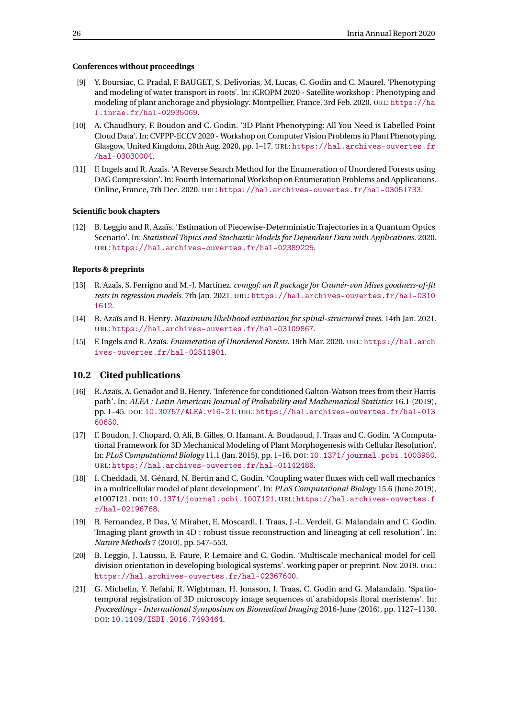#### **Conferences without proceedings**

- [9] Y. Boursiac, C. Pradal, F. BAUGET, S. Delivorias, M. Lucas, C. Godin and C. Maurel. 'Phenotyping and modeling of water transport in roots'. In: iCROPM 2020 - Satellite workshop : Phenotyping and modeling of plant anchorage and physiology. Montpellier, France, 3rd Feb. 2020. URL: [https://ha](https://hal.inrae.fr/hal-02935069) [l.inrae.fr/hal-02935069](https://hal.inrae.fr/hal-02935069).
- [10] A. Chaudhury, F. Boudon and C. Godin. '3D Plant Phenotyping: All You Need is Labelled Point Cloud Data'. In: CVPPP-ECCV 2020 - Workshop on Computer Vision Problems in Plant Phenotyping. Glasgow, United Kingdom, 28th Aug. 2020, pp. 1–17. URL: [https://hal.archives-ouvertes.fr](https://hal.archives-ouvertes.fr/hal-03030004) [/hal-03030004](https://hal.archives-ouvertes.fr/hal-03030004).
- <span id="page-28-6"></span>[11] F. Ingels and R. Azaïs. 'A Reverse Search Method for the Enumeration of Unordered Forests using DAG Compression'. In: Fourth International Workshop on Enumeration Problems and Applications. Online, France, 7th Dec. 2020. URL: <https://hal.archives-ouvertes.fr/hal-03051733>.

#### **Scientific book chapters**

<span id="page-28-10"></span>[12] B. Leggio and R. Azaïs. 'Estimation of Piecewise-Deterministic Trajectories in a Quantum Optics Scenario'. In: *Statistical Topics and Stochastic Models for Dependent Data with Applications*. 2020. URL: <https://hal.archives-ouvertes.fr/hal-02389225>.

#### **Reports & preprints**

- <span id="page-28-11"></span>[13] R. Azaïs, S. Ferrigno and M.-J. Martinez. *cvmgof: an R package for Cramér-von Mises goodness-of-fit tests in regression models*. 7th Jan. 2021. URL: [https://hal.archives-ouvertes.fr/hal-0310](https://hal.archives-ouvertes.fr/hal-03101612) [1612](https://hal.archives-ouvertes.fr/hal-03101612).
- <span id="page-28-4"></span>[14] R. Azaïs and B. Henry. *Maximum likelihood estimation for spinal-structured trees*. 14th Jan. 2021. URL: <https://hal.archives-ouvertes.fr/hal-03109867>.
- <span id="page-28-5"></span>[15] F. Ingels and R. Azaïs. *Enumeration of Unordered Forests*. 19th Mar. 2020. URL: [https://hal.arch](https://hal.archives-ouvertes.fr/hal-02511901) [ives-ouvertes.fr/hal-02511901](https://hal.archives-ouvertes.fr/hal-02511901).

#### <span id="page-28-0"></span>**10.2 Cited publications**

- <span id="page-28-3"></span>[16] R. Azaïs, A. Genadot and B. Henry. 'Inference for conditioned Galton-Watson trees from their Harris path'. In: *ALEA : Latin American Journal of Probability and Mathematical Statistics* 16.1 (2019), pp. 1–45. DOI: [10.30757/ALEA.v16-21](https://doi.org/10.30757/ALEA.v16-21). URL: [https://hal.archives-ouvertes.fr/hal-013](https://hal.archives-ouvertes.fr/hal-01360650) [60650](https://hal.archives-ouvertes.fr/hal-01360650).
- <span id="page-28-7"></span>[17] F. Boudon, J. Chopard, O. Ali, B. Gilles, O. Hamant, A. Boudaoud, J. Traas and C. Godin. 'A Computational Framework for 3D Mechanical Modeling of Plant Morphogenesis with Cellular Resolution'. In: *PLoS Computational Biology* 11.1 (Jan. 2015), pp. 1–16. DOI: [10.1371/journal.pcbi.1003950](https://doi.org/10.1371/journal.pcbi.1003950). URL: <https://hal.archives-ouvertes.fr/hal-01142486>.
- <span id="page-28-9"></span>[18] I. Cheddadi, M. Génard, N. Bertin and C. Godin. 'Coupling water fluxes with cell wall mechanics in a multicellular model of plant development'. In: *PLoS Computational Biology* 15.6 (June 2019), e1007121. DOI: [10.1371/journal.pcbi.1007121](https://doi.org/10.1371/journal.pcbi.1007121). URL: [https://hal.archives-ouvertes.f](https://hal.archives-ouvertes.fr/hal-02196768) [r/hal-02196768](https://hal.archives-ouvertes.fr/hal-02196768).
- <span id="page-28-1"></span>[19] R. Fernandez, P. Das, V. Mirabet, E. Moscardi, J. Traas, J.-L. Verdeil, G. Malandain and C. Godin. 'Imaging plant growth in 4D : robust tissue reconstruction and lineaging at cell resolution'. In: *Nature Methods* 7 (2010), pp. 547–553.
- <span id="page-28-8"></span>[20] B. Leggio, J. Laussu, E. Faure, P. Lemaire and C. Godin. 'Multiscale mechanical model for cell division orientation in developing biological systems'. working paper or preprint. Nov. 2019. URL: <https://hal.archives-ouvertes.fr/hal-02367600>.
- <span id="page-28-2"></span>[21] G. Michelin, Y. Refahi, R. Wightman, H. Jonsson, J. Traas, C. Godin and G. Malandain. 'Spatiotemporal registration of 3D microscopy image sequences of arabidopsis floral meristems'. In: *Proceedings - International Symposium on Biomedical Imaging* 2016-June (2016), pp. 1127–1130. DOI: [10.1109/ISBI.2016.7493464](https://doi.org/10.1109/ISBI.2016.7493464).